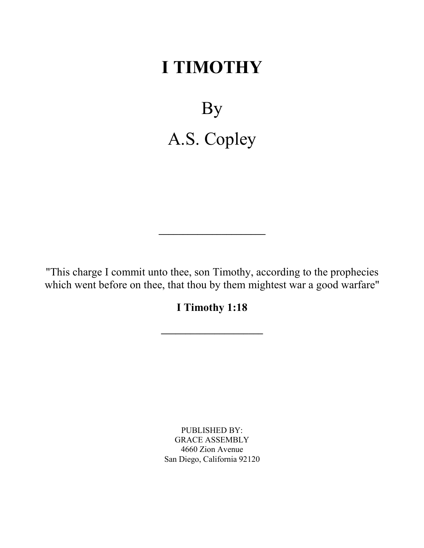# **I TIMOTHY**

By A.S. Copley

"This charge I commit unto thee, son Timothy, according to the prophecies which went before on thee, that thou by them mightest war a good warfare"

**\_\_\_\_\_\_\_\_\_\_\_\_\_\_\_\_\_\_\_\_\_\_**

**I Timothy 1:18**

**\_\_\_\_\_\_\_\_\_\_\_\_\_\_\_\_\_\_\_\_\_**

PUBLISHED BY: GRACE ASSEMBLY 4660 Zion Avenue San Diego, California 92120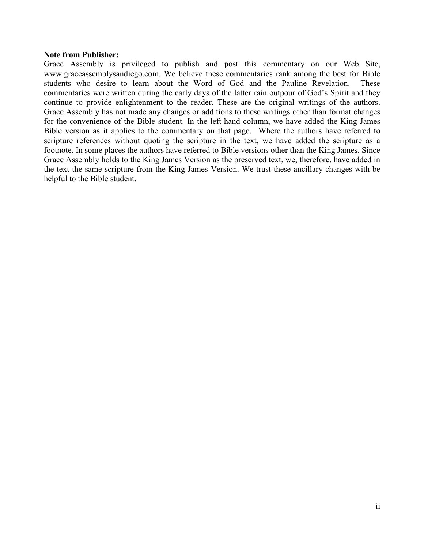# **Note from Publisher:**

Grace Assembly is privileged to publish and post this commentary on our Web Site, www.graceassemblysandiego.com. We believe these commentaries rank among the best for Bible students who desire to learn about the Word of God and the Pauline Revelation. These commentaries were written during the early days of the latter rain outpour of God's Spirit and they continue to provide enlightenment to the reader. These are the original writings of the authors. Grace Assembly has not made any changes or additions to these writings other than format changes for the convenience of the Bible student. In the left-hand column, we have added the King James Bible version as it applies to the commentary on that page. Where the authors have referred to scripture references without quoting the scripture in the text, we have added the scripture as a footnote. In some places the authors have referred to Bible versions other than the King James. Since Grace Assembly holds to the King James Version as the preserved text, we, therefore, have added in the text the same scripture from the King James Version. We trust these ancillary changes with be helpful to the Bible student.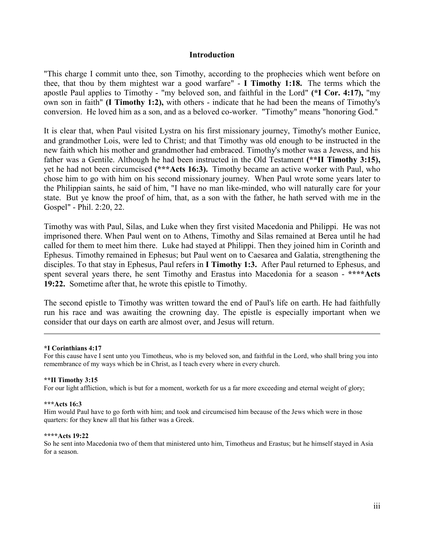# **Introduction**

"This charge I commit unto thee, son Timothy, according to the prophecies which went before on thee, that thou by them mightest war a good warfare" - **I Timothy 1:18.** The terms which the apostle Paul applies to Timothy - "my beloved son, and faithful in the Lord" **(\*I Cor. 4:17),** "my own son in faith" **(I Timothy 1:2),** with others - indicate that he had been the means of Timothy's conversion. He loved him as a son, and as a beloved co-worker. "Timothy" means "honoring God."

It is clear that, when Paul visited Lystra on his first missionary journey, Timothy's mother Eunice, and grandmother Lois, were led to Christ; and that Timothy was old enough to be instructed in the new faith which his mother and grandmother had embraced. Timothy's mother was a Jewess, and his father was a Gentile. Although he had been instructed in the Old Testament **(\*\*II Timothy 3:15),** yet he had not been circumcised **(\*\*\*Acts 16:3).** Timothy became an active worker with Paul, who chose him to go with him on his second missionary journey. When Paul wrote some years later to the Philippian saints, he said of him, "I have no man like-minded, who will naturally care for your state. But ye know the proof of him, that, as a son with the father, he hath served with me in the Gospel" - Phil. 2:20, 22.

Timothy was with Paul, Silas, and Luke when they first visited Macedonia and Philippi. He was not imprisoned there. When Paul went on to Athens, Timothy and Silas remained at Berea until he had called for them to meet him there. Luke had stayed at Philippi. Then they joined him in Corinth and Ephesus. Timothy remained in Ephesus; but Paul went on to Caesarea and Galatia, strengthening the disciples. To that stay in Ephesus, Paul refers in **I Timothy 1:3.** After Paul returned to Ephesus, and spent several years there, he sent Timothy and Erastus into Macedonia for a season - **\*\*\*\*Acts 19:22.** Sometime after that, he wrote this epistle to Timothy.

The second epistle to Timothy was written toward the end of Paul's life on earth. He had faithfully run his race and was awaiting the crowning day. The epistle is especially important when we consider that our days on earth are almost over, and Jesus will return.

### **\*I Corinthians 4:17**

For this cause have I sent unto you Timotheus, who is my beloved son, and faithful in the Lord, who shall bring you into remembrance of my ways which be in Christ, as I teach every where in every church.

### **\*\*II Timothy 3:15**

For our light affliction, which is but for a moment, worketh for us a far more exceeding and eternal weight of glory;

### **\*\*\*Acts 16:3**

Him would Paul have to go forth with him; and took and circumcised him because of the Jews which were in those quarters: for they knew all that his father was a Greek.

#### **\*\*\*\*Acts 19:22**

So he sent into Macedonia two of them that ministered unto him, Timotheus and Erastus; but he himself stayed in Asia for a season.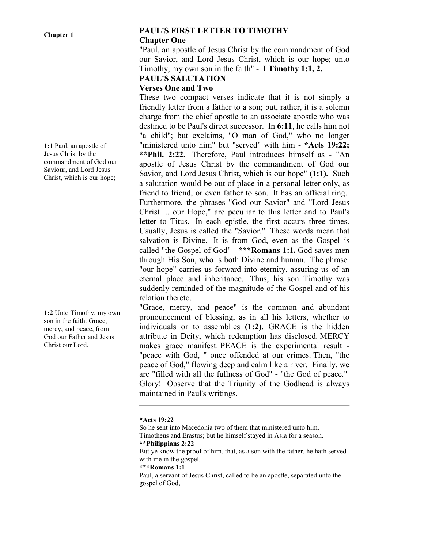**1:1** Paul, an apostle of Jesus Christ by the commandment of God our Saviour, and Lord Jesus Christ, which is our hope;

**1:2** Unto Timothy, my own son in the faith: Grace, mercy, and peace, from God our Father and Jesus Christ our Lord.

# **PAUL'S FIRST LETTER TO TIMOTHY Chapter One**

"Paul, an apostle of Jesus Christ by the commandment of God our Savior, and Lord Jesus Christ, which is our hope; unto Timothy, my own son in the faith" - **I Timothy 1:1, 2.** 

# **PAUL'S SALUTATION**

# **Verses One and Two**

These two compact verses indicate that it is not simply a friendly letter from a father to a son; but, rather, it is a solemn charge from the chief apostle to an associate apostle who was destined to be Paul's direct successor. In **6:11**, he calls him not "a child"; but exclaims, "O man of God," who no longer "ministered unto him" but "served" with him - **\*Acts 19:22; \*\*Phil. 2:22.** Therefore, Paul introduces himself as - "An apostle of Jesus Christ by the commandment of God our Savior, and Lord Jesus Christ, which is our hope" **(1:1).** Such a salutation would be out of place in a personal letter only, as friend to friend, or even father to son. It has an official ring. Furthermore, the phrases "God our Savior" and "Lord Jesus Christ ... our Hope," are peculiar to this letter and to Paul's letter to Titus. In each epistle, the first occurs three times. Usually, Jesus is called the "Savior." These words mean that salvation is Divine. It is from God, even as the Gospel is called "the Gospel of God" - **\*\*\*Romans 1:1.** God saves men through His Son, who is both Divine and human. The phrase "our hope" carries us forward into eternity, assuring us of an eternal place and inheritance. Thus, his son Timothy was suddenly reminded of the magnitude of the Gospel and of his relation thereto.

"Grace, mercy, and peace" is the common and abundant pronouncement of blessing, as in all his letters, whether to individuals or to assemblies **(1:2).** GRACE is the hidden attribute in Deity, which redemption has disclosed. MERCY makes grace manifest. PEACE is the experimental result - "peace with God, " once offended at our crimes. Then, "the peace of God," flowing deep and calm like a river. Finally, we are "filled with all the fullness of God" - "the God of peace." Glory! Observe that the Triunity of the Godhead is always maintained in Paul's writings.

# **\*Acts 19:22**

So he sent into Macedonia two of them that ministered unto him, Timotheus and Erastus; but he himself stayed in Asia for a season. **\*\*Philippians 2:22** But ye know the proof of him, that, as a son with the father, he hath served with me in the gospel. **\*\*\*Romans 1:1** Paul, a servant of Jesus Christ, called to be an apostle, separated unto the gospel of God,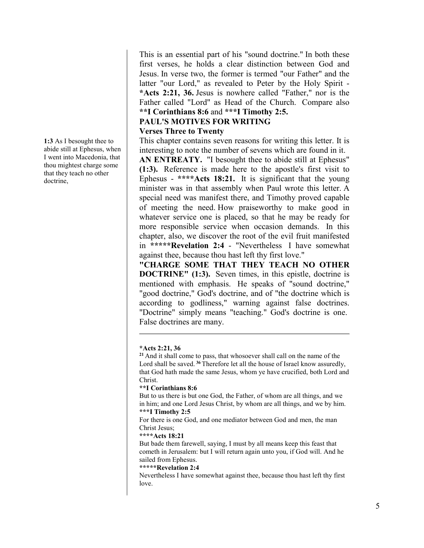**1:3** As I besought thee to abide still at Ephesus, when I went into Macedonia, that thou mightest charge some that they teach no other doctrine,

This is an essential part of his "sound doctrine." In both these first verses, he holds a clear distinction between God and Jesus. In verse two, the former is termed "our Father" and the latter "our Lord," as revealed to Peter by the Holy Spirit - **\*Acts 2:21, 36.** Jesus is nowhere called "Father," nor is the Father called "Lord" as Head of the Church. Compare also **\*\*I Corinthians 8:6** and **\*\*\*I Timothy 2:5.** 

# **PAUL'S MOTIVES FOR WRITING Verses Three to Twenty**

This chapter contains seven reasons for writing this letter. It is interesting to note the number of sevens which are found in it.

**AN ENTREATY.** "I besought thee to abide still at Ephesus" **(1:3).** Reference is made here to the apostle's first visit to Ephesus - **\*\*\*\*Acts 18:21.** It is significant that the young minister was in that assembly when Paul wrote this letter. A special need was manifest there, and Timothy proved capable of meeting the need. How praiseworthy to make good in whatever service one is placed, so that he may be ready for more responsible service when occasion demands. In this chapter, also, we discover the root of the evil fruit manifested in **\*\*\*\*\*Revelation 2:4** - "Nevertheless I have somewhat against thee, because thou hast left thy first love."

**"CHARGE SOME THAT THEY TEACH NO OTHER DOCTRINE" (1:3).** Seven times, in this epistle, doctrine is mentioned with emphasis. He speaks of "sound doctrine," "good doctrine," God's doctrine, and of "the doctrine which is according to godliness," warning against false doctrines. "Doctrine" simply means "teaching." God's doctrine is one. False doctrines are many.

# **\*Acts 2:21, 36**

**<sup>21</sup>** And it shall come to pass, that whosoever shall call on the name of the Lord shall be saved. **<sup>36</sup>** Therefore let all the house of Israel know assuredly, that God hath made the same Jesus, whom ye have crucified, both Lord and Christ.

# **\*\*I Corinthians 8:6**

But to us there is but one God, the Father, of whom are all things, and we in him; and one Lord Jesus Christ, by whom are all things, and we by him. **\*\*\*I Timothy 2:5**

For there is one God, and one mediator between God and men, the man Christ Jesus;

# **\*\*\*\*Acts 18:21**

But bade them farewell, saying, I must by all means keep this feast that cometh in Jerusalem: but I will return again unto you, if God will. And he sailed from Ephesus.

# **\*\*\*\*\*Revelation 2:4**

Nevertheless I have somewhat against thee, because thou hast left thy first love.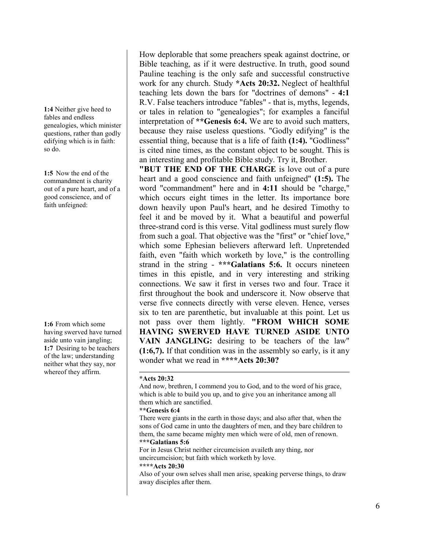**1:4** Neither give heed to fables and endless genealogies, which minister questions, rather than godly edifying which is in faith: so do.

**1:5** Now the end of the commandment is charity out of a pure heart, and of a good conscience, and of faith unfeigned:

**1:6** From which some having swerved have turned aside unto vain jangling; **1:7** Desiring to be teachers of the law; understanding neither what they say, nor whereof they affirm.

How deplorable that some preachers speak against doctrine, or Bible teaching, as if it were destructive. In truth, good sound Pauline teaching is the only safe and successful constructive work for any church. Study **\*Acts 20:32.** Neglect of healthful teaching lets down the bars for "doctrines of demons" - **4:1** R.V. False teachers introduce "fables" - that is, myths, legends, or tales in relation to "genealogies"; for examples a fanciful interpretation of **\*\*Genesis 6:4.** We are to avoid such matters, because they raise useless questions. "Godly edifying" is the essential thing, because that is a life of faith **(1:4).** "Godliness" is cited nine times, as the constant object to be sought. This is an interesting and profitable Bible study. Try it, Brother.

**"BUT THE END OF THE CHARGE** is love out of a pure heart and a good conscience and faith unfeigned" **(1:5).** The word "commandment" here and in **4:11** should be "charge," which occurs eight times in the letter. Its importance bore down heavily upon Paul's heart, and he desired Timothy to feel it and be moved by it. What a beautiful and powerful three-strand cord is this verse. Vital godliness must surely flow from such a goal. That objective was the "first" or "chief love," which some Ephesian believers afterward left. Unpretended faith, even "faith which worketh by love," is the controlling strand in the string - **\*\*\*Galatians 5:6.** It occurs nineteen times in this epistle, and in very interesting and striking connections. We saw it first in verses two and four. Trace it first throughout the book and underscore it. Now observe that verse five connects directly with verse eleven. Hence, verses six to ten are parenthetic, but invaluable at this point. Let us not pass over them lightly. **"FROM WHICH SOME HAVING SWERVED HAVE TURNED ASIDE UNTO VAIN JANGLING:** desiring to be teachers of the law" **(1:6,7).** If that condition was in the assembly so early, is it any wonder what we read in **\*\*\*\*Acts 20:30?**

# **\*Acts 20:32**

And now, brethren, I commend you to God, and to the word of his grace, which is able to build you up, and to give you an inheritance among all them which are sanctified.

### **\*\*Genesis 6:4**

There were giants in the earth in those days; and also after that, when the sons of God came in unto the daughters of men, and they bare children to them, the same became mighty men which were of old, men of renown. **\*\*\*Galatians 5:6** 

For in Jesus Christ neither circumcision availeth any thing, nor uncircumcision; but faith which worketh by love.

#### **\*\*\*\*Acts 20:30**

Also of your own selves shall men arise, speaking perverse things, to draw away disciples after them.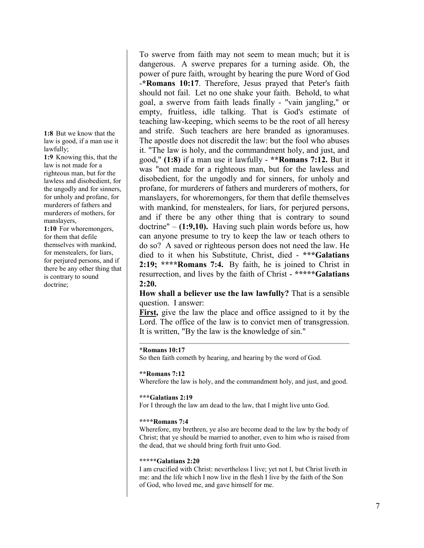**1:8** But we know that the law is good, if a man use it lawfully;

**1:9** Knowing this, that the law is not made for a righteous man, but for the lawless and disobedient, for the ungodly and for sinners, for unholy and profane, for murderers of fathers and murderers of mothers, for manslayers,

**1:10** For whoremongers, for them that defile themselves with mankind, for menstealers, for liars, for perjured persons, and if there be any other thing that is contrary to sound doctrine;

To swerve from faith may not seem to mean much; but it is dangerous. A swerve prepares for a turning aside. Oh, the power of pure faith, wrought by hearing the pure Word of God -**\*Romans 10:17**. Therefore, Jesus prayed that Peter's faith should not fail. Let no one shake your faith. Behold, to what goal, a swerve from faith leads finally - "vain jangling," or empty, fruitless, idle talking. That is God's estimate of teaching law-keeping, which seems to be the root of all heresy and strife. Such teachers are here branded as ignoramuses. The apostle does not discredit the law: but the fool who abuses it. "The law is holy, and the commandment holy, and just, and good," **(1:8)** if a man use it lawfully - **\*\*Romans 7:12.** But it was "not made for a righteous man, but for the lawless and disobedient, for the ungodly and for sinners, for unholy and profane, for murderers of fathers and murderers of mothers, for manslayers, for whoremongers, for them that defile themselves with mankind, for menstealers, for liars, for perjured persons, and if there be any other thing that is contrary to sound doctrine" – **(1:9,10).** Having such plain words before us, how can anyone presume to try to keep the law or teach others to do so? A saved or righteous person does not need the law. He died to it when his Substitute, Christ, died - **\*\*\*Galatians 2:19; \*\*\*\*Romans 7:4.** By faith, he is joined to Christ in resurrection, and lives by the faith of Christ - **\*\*\*\*\*Galatians 2:20.**

**How shall a believer use the law lawfully?** That is a sensible question. I answer:

**First,** give the law the place and office assigned to it by the Lord. The office of the law is to convict men of transgression. It is written, "By the law is the knowledge of sin."

### **\*Romans 10:17**

So then faith cometh by hearing, and hearing by the word of God.

### **\*\*Romans 7:12**

Wherefore the law is holy, and the commandment holy, and just, and good.

#### **\*\*\*Galatians 2:19**

For I through the law am dead to the law, that I might live unto God.

#### **\*\*\*\*Romans 7:4**

Wherefore, my brethren, ye also are become dead to the law by the body of Christ; that ye should be married to another, even to him who is raised from the dead, that we should bring forth fruit unto God.

### **\*\*\*\*\*Galatians 2:20**

I am crucified with Christ: nevertheless I live; yet not I, but Christ liveth in me: and the life which I now live in the flesh I live by the faith of the Son of God, who loved me, and gave himself for me.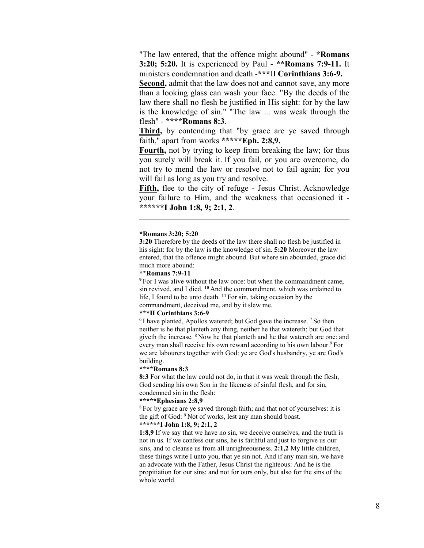"The law entered, that the offence might abound" - **\*Romans 3:20; 5:20.** It is experienced by Paul - **\*\*Romans 7:9-11.** It ministers condemnation and death -**\*\*\***II **Corinthians 3:6-9.**

**Second,** admit that the law does not and cannot save, any more than a looking glass can wash your face. "By the deeds of the law there shall no flesh be justified in His sight: for by the law is the knowledge of sin." "The law ... was weak through the flesh" - **\*\*\*\*Romans 8:3**.

**Third,** by contending that "by grace are ye saved through faith," apart from works **\*\*\*\*\*Eph. 2:8,9.**

**Fourth,** not by trying to keep from breaking the law; for thus you surely will break it. If you fail, or you are overcome, do not try to mend the law or resolve not to fail again; for you will fail as long as you try and resolve.

**Fifth,** flee to the city of refuge - Jesus Christ. Acknowledge your failure to Him, and the weakness that occasioned it - **\*\*\*\*\*\*I John 1:8, 9; 2:1, 2**.

#### **\*Romans 3:20; 5:20**

**3:20** Therefore by the deeds of the law there shall no flesh be justified in his sight: for by the law is the knowledge of sin. **5:20** Moreover the law entered, that the offence might abound. But where sin abounded, grace did much more abound:

### **\*\*Romans 7:9-11**

**<sup>9</sup>** For I was alive without the law once: but when the commandment came, sin revived, and I died. **<sup>10</sup>** And the commandment, which was ordained to life, I found to be unto death. **<sup>11</sup>** For sin, taking occasion by the commandment, deceived me, and by it slew me.

#### **\*\*\*II Corinthians 3:6-9**

 $6$ I have planted, Apollos watered; but God gave the increase.  $7$  So then neither is he that planteth any thing, neither he that watereth; but God that giveth the increase. 8 Now he that planteth and he that watereth are one: and every man shall receive his own reward according to his own labour.<sup>9</sup> For we are labourers together with God: ye are God's husbandry, ye are God's building.

### **\*\*\*\*Romans 8:3**

**8:3** For what the law could not do, in that it was weak through the flesh, God sending his own Son in the likeness of sinful flesh, and for sin, condemned sin in the flesh:

#### **\*\*\*\*\*Ephesians 2:8,9**

<sup>8</sup> For by grace are ye saved through faith; and that not of yourselves: it is the gift of God: 9 Not of works, lest any man should boast.

# **\*\*\*\*\*\*I John 1:8, 9; 2:1, 2**

**1:8,9** If we say that we have no sin, we deceive ourselves, and the truth is not in us. If we confess our sins, he is faithful and just to forgive us our sins, and to cleanse us from all unrighteousness. **2:1,2** My little children, these things write I unto you, that ye sin not. And if any man sin, we have an advocate with the Father, Jesus Christ the righteous: And he is the propitiation for our sins: and not for ours only, but also for the sins of the whole world.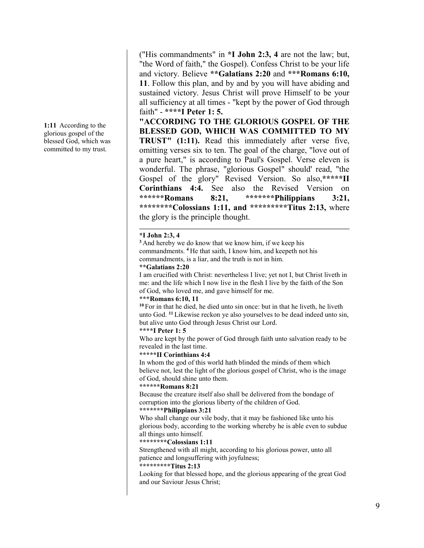**1:11** According to the glorious gospel of the blessed God, which was committed to my trust.

("His commandments" in **\*I John 2:3, 4** are not the law; but, "the Word of faith," the Gospel). Confess Christ to be your life and victory. Believe **\*\*Galatians 2:20** and **\*\*\*Romans 6:10, 11**. Follow this plan, and by and by you will have abiding and sustained victory. Jesus Christ will prove Himself to be your all sufficiency at all times - "kept by the power of God through faith" - **\*\*\*\*I Peter 1: 5.**

**"ACCORDING TO THE GLORIOUS GOSPEL OF THE BLESSED GOD, WHICH WAS COMMITTED TO MY TRUST" (1:11).** Read this immediately after verse five, omitting verses six to ten. The goal of the charge, "love out of a pure heart," is according to Paul's Gospel. Verse eleven is wonderful. The phrase, "glorious Gospel" should' read, "the Gospel of the glory" Revised Version. So also,**\*\*\*\*\*II Corinthians 4:4.** See also the Revised Version on<br>\*\*\*\*\*\*Romans 8:21. \*\*\*\*\*\*\*Philippians 3:21, **\*\*\*\*\*\*Romans 8:21, \*\*\*\*\*\*\*Philippians 3:21, \*\*\*\*\*\*\*\*Colossians 1:11, and \*\*\*\*\*\*\*\*\*Titus 2:13,** where the glory is the principle thought.

# **\*I John 2:3, 4**

**<sup>3</sup>** And hereby we do know that we know him, if we keep his commandments. **<sup>4</sup>** He that saith, I know him, and keepeth not his commandments, is a liar, and the truth is not in him.

### **\*\*Galatians 2:20**

I am crucified with Christ: nevertheless I live; yet not I, but Christ liveth in me: and the life which I now live in the flesh I live by the faith of the Son of God, who loved me, and gave himself for me.

### **\*\*\*Romans 6:10, 11**

**<sup>10</sup>** For in that he died, he died unto sin once: but in that he liveth, he liveth unto God. **<sup>11</sup>** Likewise reckon ye also yourselves to be dead indeed unto sin, but alive unto God through Jesus Christ our Lord.

# **\*\*\*\*I Peter 1: 5**

Who are kept by the power of God through faith unto salvation ready to be revealed in the last time.

### **\*\*\*\*\*II Corinthians 4:4**

In whom the god of this world hath blinded the minds of them which believe not, lest the light of the glorious gospel of Christ, who is the image of God, should shine unto them.

### **\*\*\*\*\*\*Romans 8:21**

Because the creature itself also shall be delivered from the bondage of corruption into the glorious liberty of the children of God.

# **\*\*\*\*\*\*\*Philippians 3:21**

Who shall change our vile body, that it may be fashioned like unto his glorious body, according to the working whereby he is able even to subdue all things unto himself.

# **\*\*\*\*\*\*\*\*Colossians 1:11**

Strengthened with all might, according to his glorious power, unto all patience and longsuffering with joyfulness;

# **\*\*\*\*\*\*\*\*\*Titus 2:13**

Looking for that blessed hope, and the glorious appearing of the great God and our Saviour Jesus Christ;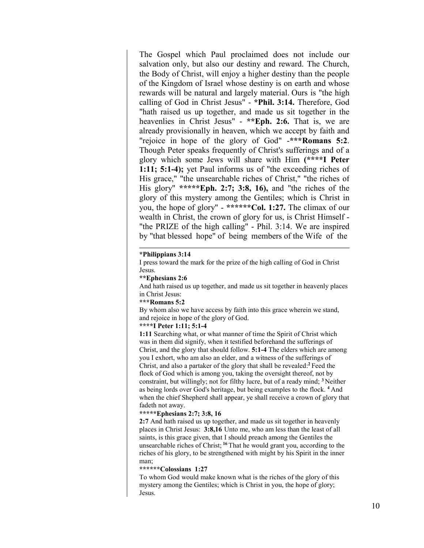The Gospel which Paul proclaimed does not include our salvation only, but also our destiny and reward. The Church, the Body of Christ, will enjoy a higher destiny than the people of the Kingdom of Israel whose destiny is on earth and whose rewards will be natural and largely material. Ours is "the high calling of God in Christ Jesus" - **\*Phil. 3:14.** Therefore, God "hath raised us up together, and made us sit together in the heavenlies in Christ Jesus" - **\*\*Eph. 2:6.** That is, we are already provisionally in heaven, which we accept by faith and "rejoice in hope of the glory of God" -**\*\*\*Romans 5:2**. Though Peter speaks frequently of Christ's sufferings and of a glory which some Jews will share with Him **(\*\*\*\*I Peter 1:11; 5:1-4);** yet Paul informs us of "the exceeding riches of His grace," "the unsearchable riches of Christ," "the riches of His glory" **\*\*\*\*\*Eph. 2:7; 3:8, 16),** and "the riches of the glory of this mystery among the Gentiles; which is Christ in you, the hope of glory" - **\*\*\*\*\*\*Col. 1:27.** The climax of our wealth in Christ, the crown of glory for us, is Christ Himself - "the PRIZE of the high calling" - Phil. 3:14. We are inspired by "that blessed hope" of being members of the Wife of the

#### **\*Philippians 3:14**

I press toward the mark for the prize of the high calling of God in Christ Jesus.

# **\*\*Ephesians 2:6**

And hath raised us up together, and made us sit together in heavenly places in Christ Jesus:

### **\*\*\*Romans 5:2**

By whom also we have access by faith into this grace wherein we stand, and rejoice in hope of the glory of God.

# **\*\*\*\*I Peter 1:11; 5:1-4**

**1:11** Searching what, or what manner of time the Spirit of Christ which was in them did signify, when it testified beforehand the sufferings of Christ, and the glory that should follow. **5:1-4** The elders which are among you I exhort, who am also an elder, and a witness of the sufferings of Christ, and also a partaker of the glory that shall be revealed:**<sup>2</sup>** Feed the flock of God which is among you, taking the oversight thereof, not by constraint, but willingly; not for filthy lucre, but of a ready mind; **<sup>3</sup>** Neither as being lords over God's heritage, but being examples to the flock. **<sup>4</sup>** And when the chief Shepherd shall appear, ye shall receive a crown of glory that fadeth not away.

# **\*\*\*\*\*Ephesians 2:7; 3:8, 16**

**2:7** And hath raised us up together, and made us sit together in heavenly places in Christ Jesus: **3:8,16** Unto me, who am less than the least of all saints, is this grace given, that I should preach among the Gentiles the unsearchable riches of Christ; **<sup>16</sup>** That he would grant you, according to the riches of his glory, to be strengthened with might by his Spirit in the inner man;

#### **\*\*\*\*\*\*Colossians 1:27**

To whom God would make known what is the riches of the glory of this mystery among the Gentiles; which is Christ in you, the hope of glory; Jesus.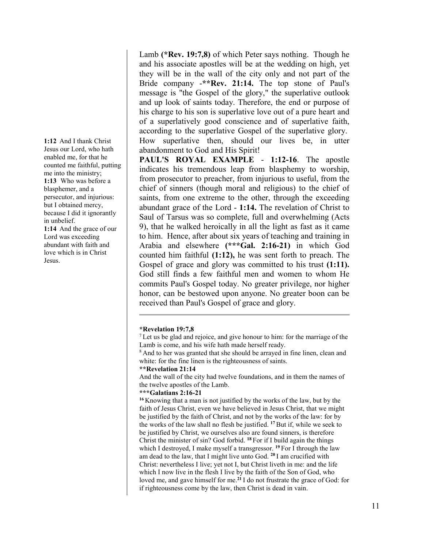**1:12** And I thank Christ Jesus our Lord, who hath enabled me, for that he counted me faithful, putting me into the ministry; **1:13** Who was before a blasphemer, and a persecutor, and injurious: but I obtained mercy, because I did it ignorantly in unbelief. **1:14** And the grace of our Lord was exceeding abundant with faith and love which is in Christ Jesus.

Lamb **(\*Rev. 19:7,8)** of which Peter says nothing. Though he and his associate apostles will be at the wedding on high, yet they will be in the wall of the city only and not part of the Bride company -**\*\*Rev. 21:14.** The top stone of Paul's message is "the Gospel of the glory," the superlative outlook and up look of saints today. Therefore, the end or purpose of his charge to his son is superlative love out of a pure heart and of a superlatively good conscience and of superlative faith, according to the superlative Gospel of the superlative glory. How superlative then, should our lives be, in utter abandonment to God and His Spirit!

**PAUL'S ROYAL EXAMPLE** - **1:12-16**. The apostle indicates his tremendous leap from blasphemy to worship, from prosecutor to preacher, from injurious to useful, from the chief of sinners (though moral and religious) to the chief of saints, from one extreme to the other, through the exceeding abundant grace of the Lord - **1:14.** The revelation of Christ to Saul of Tarsus was so complete, full and overwhelming (Acts 9), that he walked heroically in all the light as fast as it came to him. Hence, after about six years of teaching and training in Arabia and elsewhere **(\*\*\*Gal. 2:16-21)** in which God counted him faithful **(1:12),** he was sent forth to preach. The Gospel of grace and glory was committed to his trust **(1:11).** God still finds a few faithful men and women to whom He commits Paul's Gospel today. No greater privilege, nor higher honor, can be bestowed upon anyone. No greater boon can be received than Paul's Gospel of grace and glory.

### **\*Revelation 19:7,8**

 $<sup>7</sup>$  Let us be glad and rejoice, and give honour to him: for the marriage of the</sup> Lamb is come, and his wife hath made herself ready.

<sup>8</sup> And to her was granted that she should be arrayed in fine linen, clean and white: for the fine linen is the righteousness of saints.

### **\*\*Revelation 21:14**

And the wall of the city had twelve foundations, and in them the names of the twelve apostles of the Lamb.

#### **\*\*\*Galatians 2:16-21**

**<sup>16</sup>** Knowing that a man is not justified by the works of the law, but by the faith of Jesus Christ, even we have believed in Jesus Christ, that we might be justified by the faith of Christ, and not by the works of the law: for by the works of the law shall no flesh be justified. **<sup>17</sup>** But if, while we seek to be justified by Christ, we ourselves also are found sinners, is therefore Christ the minister of sin? God forbid. **<sup>18</sup>** For if I build again the things which I destroyed, I make myself a transgressor. **<sup>19</sup>** For I through the law am dead to the law, that I might live unto God. **<sup>20</sup>** I am crucified with Christ: nevertheless I live; yet not I, but Christ liveth in me: and the life which I now live in the flesh I live by the faith of the Son of God, who loved me, and gave himself for me.**<sup>21</sup>** I do not frustrate the grace of God: for if righteousness come by the law, then Christ is dead in vain.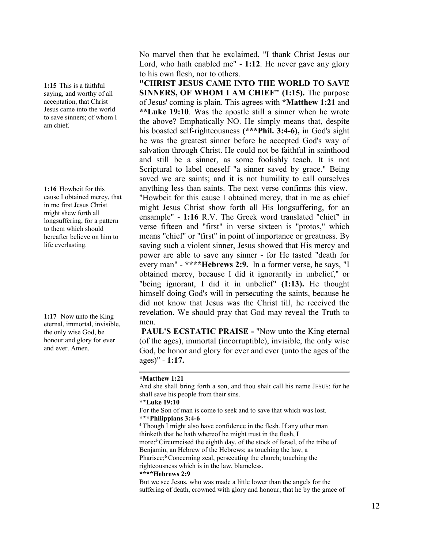**1:15** This is a faithful saying, and worthy of all acceptation, that Christ Jesus came into the world to save sinners; of whom I am chief.

**1:16** Howbeit for this cause I obtained mercy, that in me first Jesus Christ might shew forth all longsuffering, for a pattern to them which should hereafter believe on him to life everlasting.

**1:17** Now unto the King eternal, immortal, invisible, the only wise God, be honour and glory for ever and ever. Amen.

No marvel then that he exclaimed, "I thank Christ Jesus our Lord, who hath enabled me" - **1:12**. He never gave any glory to his own flesh, nor to others.

**"CHRIST JESUS CAME INTO THE WORLD TO SAVE SINNERS, OF WHOM I AM CHIEF" (1:15).** The purpose of Jesus' coming is plain. This agrees with **\*Matthew 1:21** and **\*\*Luke 19:10**. Was the apostle still a sinner when he wrote the above? Emphatically NO. He simply means that, despite his boasted self-righteousness **(\*\*\*Phil. 3:4-6),** in God's sight he was the greatest sinner before he accepted God's way of salvation through Christ. He could not be faithful in sainthood and still be a sinner, as some foolishly teach. It is not Scriptural to label oneself "a sinner saved by grace." Being saved we are saints; and it is not humility to call ourselves anything less than saints. The next verse confirms this view. "Howbeit for this cause I obtained mercy, that in me as chief might Jesus Christ show forth all His longsuffering, for an ensample" - **1:16** R.V. The Greek word translated "chief" in verse fifteen and "first" in verse sixteen is "protos," which means "chief" or "first" in point of importance or greatness. By saving such a violent sinner, Jesus showed that His mercy and power are able to save any sinner - for He tasted "death for every man" - **\*\*\*\*Hebrews 2:9.** In a former verse, he says, "I obtained mercy, because I did it ignorantly in unbelief," or "being ignorant, I did it in unbelief" **(1:13).** He thought himself doing God's will in persecuting the saints, because he did not know that Jesus was the Christ till, he received the revelation. We should pray that God may reveal the Truth to men.

**PAUL'S ECSTATIC PRAISE -** "Now unto the King eternal (of the ages), immortal (incorruptible), invisible, the only wise God, be honor and glory for ever and ever (unto the ages of the ages)" - **1:17.**

# **\*Matthew 1:21**

And she shall bring forth a son, and thou shalt call his name JESUS: for he shall save his people from their sins.

# **\*\*Luke 19:10**

- For the Son of man is come to seek and to save that which was lost.
- **\*\*\*Philippians 3:4-6**

**<sup>4</sup>** Though I might also have confidence in the flesh. If any other man thinketh that he hath whereof he might trust in the flesh, I

more:**<sup>5</sup>** Circumcised the eighth day, of the stock of Israel, of the tribe of Benjamin, an Hebrew of the Hebrews; as touching the law, a

Pharisee;**<sup>6</sup>** Concerning zeal, persecuting the church; touching the

righteousness which is in the law, blameless.

# **\*\*\*\*Hebrews 2:9**

But we see Jesus, who was made a little lower than the angels for the suffering of death, crowned with glory and honour; that he by the grace of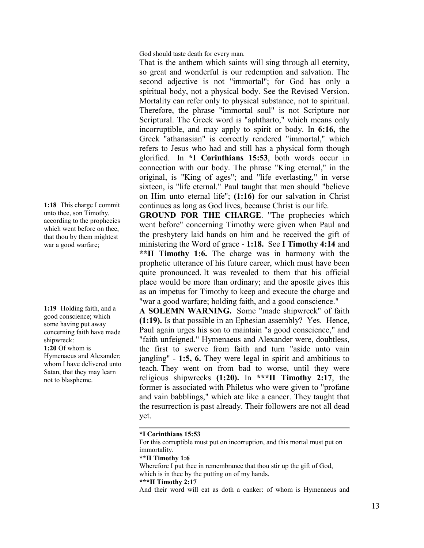God should taste death for every man.

That is the anthem which saints will sing through all eternity, so great and wonderful is our redemption and salvation. The second adjective is not "immortal"; for God has only a spiritual body, not a physical body. See the Revised Version. Mortality can refer only to physical substance, not to spiritual. Therefore, the phrase "immortal soul" is not Scripture nor Scriptural. The Greek word is "aphtharto," which means only incorruptible, and may apply to spirit or body. In **6:16,** the Greek "athanasian" is correctly rendered "immortal," which refers to Jesus who had and still has a physical form though glorified. In **\*I Corinthians 15:53**, both words occur in connection with our body. The phrase "King eternal," in the original, is "King of ages"; and "life everlasting," in verse sixteen, is "life eternal." Paul taught that men should "believe on Him unto eternal life"; **(1:16)** for our salvation in Christ continues as long as God lives, because Christ is our life.

**GROUND FOR THE CHARGE**. "The prophecies which went before" concerning Timothy were given when Paul and the presbytery laid hands on him and he received the gift of ministering the Word of grace - **1:18.** See **I Timothy 4:14** and **\*\*II Timothy 1:6.** The charge was in harmony with the prophetic utterance of his future career, which must have been quite pronounced. It was revealed to them that his official place would be more than ordinary; and the apostle gives this as an impetus for Timothy to keep and execute the charge and "war a good warfare; holding faith, and a good conscience."

**A SOLEMN WARNING.** Some "made shipwreck" of faith **(1:19).** Is that possible in an Ephesian assembly? Yes. Hence, Paul again urges his son to maintain "a good conscience," and "faith unfeigned." Hymenaeus and Alexander were, doubtless, the first to swerve from faith and turn "aside unto vain jangling" - **1:5, 6.** They were legal in spirit and ambitious to teach. They went on from bad to worse, until they were religious shipwrecks **(1:20).** In **\*\*\*II Timothy 2:17**, the former is associated with Philetus who were given to "profane and vain babblings," which ate like a cancer. They taught that the resurrection is past already. Their followers are not all dead yet.

# **\*I Corinthians 15:53** For this corruptible must put on incorruption, and this mortal must put on immortality. **\*\*II Timothy 1:6** Wherefore I put thee in remembrance that thou stir up the gift of God, which is in thee by the putting on of my hands. **\*\*\*II Timothy 2:17** And their word will eat as doth a canker: of whom is Hymenaeus and

**1:18** This charge I commit unto thee, son Timothy, according to the prophecies which went before on thee, that thou by them mightest war a good warfare;

**1:19** Holding faith, and a good conscience; which some having put away concerning faith have made shipwreck: **1:20** Of whom is Hymenaeus and Alexander; whom I have delivered unto Satan, that they may learn not to blaspheme.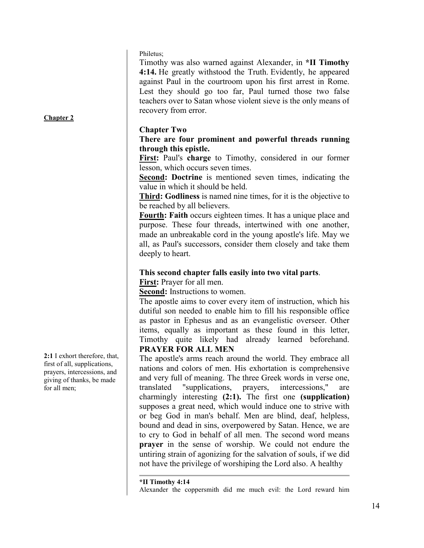Philetus;

Timothy was also warned against Alexander, in **\*II Timothy 4:14.** He greatly withstood the Truth. Evidently, he appeared against Paul in the courtroom upon his first arrest in Rome. Lest they should go too far, Paul turned those two false teachers over to Satan whose violent sieve is the only means of recovery from error.

# **Chapter Two**

**There are four prominent and powerful threads running through this epistle.**

**First:** Paul's **charge** to Timothy, considered in our former lesson, which occurs seven times.

**Second: Doctrine** is mentioned seven times, indicating the value in which it should be held.

**Third: Godliness** is named nine times, for it is the objective to be reached by all believers.

**Fourth: Faith** occurs eighteen times. It has a unique place and purpose. These four threads, intertwined with one another, made an unbreakable cord in the young apostle's life. May we all, as Paul's successors, consider them closely and take them deeply to heart.

# **This second chapter falls easily into two vital parts**. **First:** Prayer for all men.

**Second:** Instructions to women.

The apostle aims to cover every item of instruction, which his dutiful son needed to enable him to fill his responsible office as pastor in Ephesus and as an evangelistic overseer. Other items, equally as important as these found in this letter, Timothy quite likely had already learned beforehand. **PRAYER FOR ALL MEN** 

The apostle's arms reach around the world. They embrace all nations and colors of men. His exhortation is comprehensive and very full of meaning. The three Greek words in verse one, translated "supplications, prayers, intercessions," are charmingly interesting **(2:1).** The first one **(supplication)** supposes a great need, which would induce one to strive with or beg God in man's behalf. Men are blind, deaf, helpless, bound and dead in sins, overpowered by Satan. Hence, we are to cry to God in behalf of all men. The second word means **prayer** in the sense of worship. We could not endure the untiring strain of agonizing for the salvation of souls, if we did not have the privilege of worshiping the Lord also. A healthy

**\*II Timothy 4:14** Alexander the coppersmith did me much evil: the Lord reward him

**2:1** I exhort therefore, that, first of all, supplications, prayers, intercessions, and giving of thanks, be made for all men;

**Chapter 2**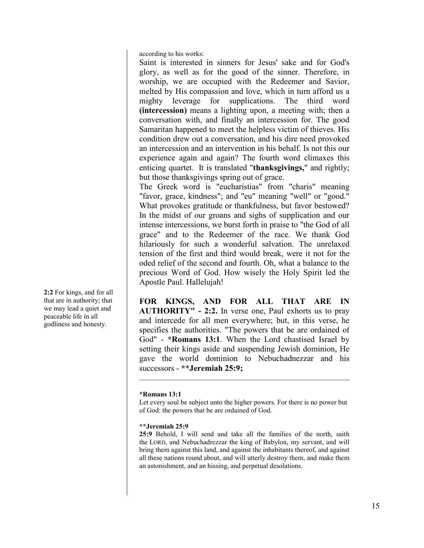according to his works:

Saint is interested in sinners for Jesus' sake and for God's glory, as well as for the good of the sinner. Therefore, in worship, we are occupied with the Redeemer and Savior, melted by His compassion and love, which in turn afford us a mighty leverage for supplications. The third word **(intercession)** means a lighting upon, a meeting with; then a conversation with, and finally an intercession for. The good Samaritan happened to meet the helpless victim of thieves. His condition drew out a conversation, and his dire need provoked an intercession and an intervention in his behalf. Is not this our experience again and again? The fourth word climaxes this enticing quartet. It is translated "**thanksgivings,**" and rightly; but those thanksgivings spring out of grace.

The Greek word is "eucharistias" from "charis" meaning "favor, grace, kindness"; and "eu" meaning "well" or "good." What provokes gratitude or thankfulness, but favor bestowed? In the midst of our groans and sighs of supplication and our intense intercessions, we burst forth in praise to "the God of all grace" and to the Redeemer of the race. We thank God hilariously for such a wonderful salvation. The unrelaxed tension of the first and third would break, were it not for the oded relief of the second and fourth. Oh, what a balance to the precious Word of God. How wisely the Holy Spirit led the Apostle Paul. Hallelujah!

**FOR KINGS, AND FOR ALL THAT ARE IN AUTHORITY" - 2:2.** In verse one, Paul exhorts us to pray and intercede for all men everywhere; but, in this verse, he specifies the authorities. "The powers that be are ordained of God" - **\*Romans 13:1**. When the Lord chastised Israel by setting their kings aside and suspending Jewish dominion, He gave the world dominion to Nebuchadnezzar and his successors - **\*\*Jeremiah 25:9;** 

# **\*Romans 13:1**

Let every soul be subject unto the higher powers. For there is no power but of God: the powers that be are ordained of God.

# **\*\*Jeremiah 25:9**

**25:9** Behold, I will send and take all the families of the north, saith the LORD, and Nebuchadrezzar the king of Babylon, my servant, and will bring them against this land, and against the inhabitants thereof, and against all these nations round about, and will utterly destroy them, and make them an astonishment, and an hissing, and perpetual desolations.

**2:2** For kings, and for all that are in authority; that we may lead a quiet and peaceable life in all godliness and honesty.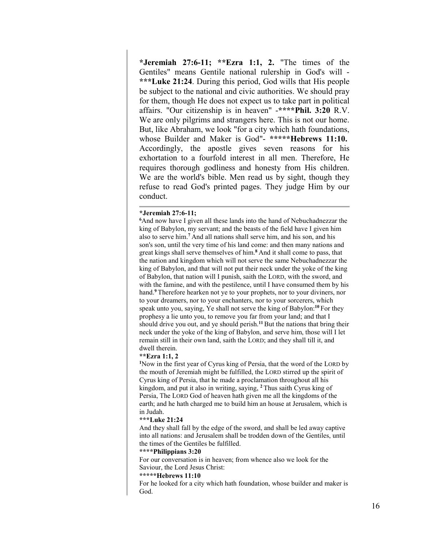**\*Jeremiah 27:6-11; \*\*Ezra 1:1, 2.** "The times of the Gentiles" means Gentile national rulership in God's will - **\*\*\*Luke 21:24**. During this period, God wills that His people be subject to the national and civic authorities. We should pray for them, though He does not expect us to take part in political affairs. "Our citizenship is in heaven" -**\*\*\*\*Phil. 3:20** R.V. We are only pilgrims and strangers here. This is not our home. But, like Abraham, we look "for a city which hath foundations, whose Builder and Maker is God"- **\*\*\*\*\*Hebrews 11:10.** Accordingly, the apostle gives seven reasons for his exhortation to a fourfold interest in all men. Therefore, He requires thorough godliness and honesty from His children. We are the world's bible. Men read us by sight, though they refuse to read God's printed pages. They judge Him by our conduct.

# **\*Jeremiah 27:6-11; 6**

<sup>6</sup>And now have I given all these lands into the hand of Nebuchadnezzar the king of Babylon, my servant; and the beasts of the field have I given him also to serve him.**<sup>7</sup>** And all nations shall serve him, and his son, and his son's son, until the very time of his land come: and then many nations and great kings shall serve themselves of him.**<sup>8</sup>** And it shall come to pass, that the nation and kingdom which will not serve the same Nebuchadnezzar the king of Babylon, and that will not put their neck under the yoke of the king of Babylon, that nation will I punish, saith the LORD, with the sword, and with the famine, and with the pestilence, until I have consumed them by his hand.**<sup>9</sup>** Therefore hearken not ye to your prophets, nor to your diviners, nor to your dreamers, nor to your enchanters, nor to your sorcerers, which speak unto you, saying, Ye shall not serve the king of Babylon:**<sup>10</sup>** For they prophesy a lie unto you, to remove you far from your land; and that I should drive you out, and ye should perish.**<sup>11</sup>** But the nations that bring their neck under the yoke of the king of Babylon, and serve him, those will I let remain still in their own land, saith the LORD; and they shall till it, and dwell therein.

### **\*\*Ezra 1:1, 2**

**1** Now in the first year of Cyrus king of Persia, that the word of the LORD by the mouth of Jeremiah might be fulfilled, the LORD stirred up the spirit of Cyrus king of Persia, that he made a proclamation throughout all his kingdom, and put it also in writing, saying, **<sup>2</sup>** Thus saith Cyrus king of Persia, The LORD God of heaven hath given me all the kingdoms of the earth; and he hath charged me to build him an house at Jerusalem, which is in Judah.

#### **\*\*\*Luke 21:24**

And they shall fall by the edge of the sword, and shall be led away captive into all nations: and Jerusalem shall be trodden down of the Gentiles, until the times of the Gentiles be fulfilled.

#### **\*\*\*\*Philippians 3:20**

For our conversation is in heaven; from whence also we look for the Saviour, the Lord Jesus Christ:

#### **\*\*\*\*\*Hebrews 11:10**

For he looked for a city which hath foundation, whose builder and maker is God.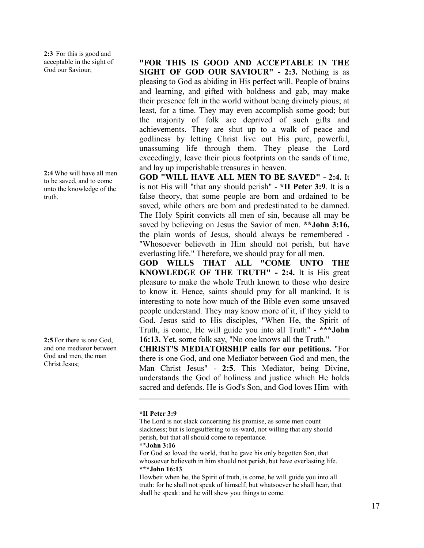**2:3** For this is good and acceptable in the sight of God our Saviour;

**2:4** Who will have all men to be saved, and to come unto the knowledge of the truth.

**2:5** For there is one God, and one mediator between God and men, the man Christ Jesus;

**"FOR THIS IS GOOD AND ACCEPTABLE IN THE SIGHT OF GOD OUR SAVIOUR" - 2:3.** Nothing is as pleasing to God as abiding in His perfect will. People of brains and learning, and gifted with boldness and gab, may make their presence felt in the world without being divinely pious; at least, for a time. They may even accomplish some good; but the majority of folk are deprived of such gifts and achievements. They are shut up to a walk of peace and godliness by letting Christ live out His pure, powerful, unassuming life through them. They please the Lord exceedingly, leave their pious footprints on the sands of time, and lay up imperishable treasures in heaven.

**GOD "WILL HAVE ALL MEN TO BE SAVED" - 2:4.** It is not His will "that any should perish" - **\*II Peter 3:9**. It is a false theory, that some people are born and ordained to be saved, while others are born and predestinated to be damned. The Holy Spirit convicts all men of sin, because all may be saved by believing on Jesus the Savior of men. **\*\*John 3:16,** the plain words of Jesus, should always be remembered - "Whosoever believeth in Him should not perish, but have everlasting life." Therefore, we should pray for all men.

**GOD WILLS THAT ALL "COME UNTO THE KNOWLEDGE OF THE TRUTH" - 2:4.** It is His great pleasure to make the whole Truth known to those who desire to know it. Hence, saints should pray for all mankind. It is interesting to note how much of the Bible even some unsaved people understand. They may know more of it, if they yield to God. Jesus said to His disciples, "When He, the Spirit of Truth, is come, He will guide you into all Truth" - **\*\*\*John 16:13.** Yet, some folk say, "No one knows all the Truth."

**CHRIST'S MEDIATORSHIP calls for our petitions.** "For there is one God, and one Mediator between God and men, the Man Christ Jesus" - **2:5**. This Mediator, being Divine, understands the God of holiness and justice which He holds sacred and defends. He is God's Son, and God loves Him with

# **\*II Peter 3:9**

The Lord is not slack concerning his promise, as some men count slackness; but is longsuffering to us-ward, not willing that any should perish, but that all should come to repentance.

**\*\*John 3:16**

For God so loved the world, that he gave his only begotten Son, that whosoever believeth in him should not perish, but have everlasting life. **\*\*\*John 16:13**

Howbeit when he, the Spirit of truth, is come, he will guide you into all truth: for he shall not speak of himself; but whatsoever he shall hear, that shall he speak: and he will shew you things to come.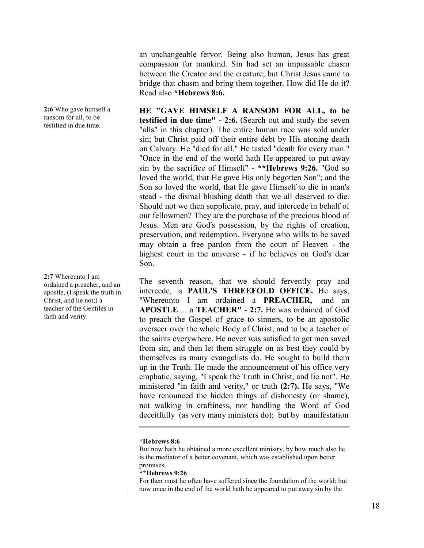**2:6** Who gave himself a ransom for all, to be testified in due time.

**2:7** Whereunto I am ordained a preacher, and an apostle, (I speak the truth in Christ, and lie not;) a teacher of the Gentiles in faith and verity.

an unchangeable fervor. Being also human, Jesus has great compassion for mankind. Sin had set an impassable chasm between the Creator and the creature; but Christ Jesus came to bridge that chasm and bring them together. How did He do it? Read also **\*Hebrews 8:6.**

**HE "GAVE HIMSELF A RANSOM FOR ALL, to be testified in due time" - 2:6.** (Search out and study the seven "alls" in this chapter). The entire human race was sold under sin; but Christ paid off their entire debt by His atoning death on Calvary. He "died for all." He tasted "death for every man." "Once in the end of the world hath He appeared to put away sin by the sacrifice of Himself" - **\*\*Hebrews 9:26.** "God so loved the world, that He gave His only begotten Son"; and the Son so loved the world, that He gave Himself to die in man's stead - the dismal blushing death that we all deserved to die. Should not we then supplicate, pray, and intercede in behalf of our fellowmen? They are the purchase of the precious blood of Jesus. Men are God's possession, by the rights of creation, preservation, and redemption. Everyone who wills to be saved may obtain a free pardon from the court of Heaven - the highest court in the universe - if he believes on God's dear Son.

The seventh reason, that we should fervently pray and intercede, is **PAUL'S THREEFOLD OFFICE.** He says, "Whereunto I am ordained a **PREACHER,** and an **APOSTLE** ... a **TEACHER"** - **2:7.** He was ordained of God to preach the Gospel of grace to sinners, to be an apostolic overseer over the whole Body of Christ, and to be a teacher of the saints everywhere. He never was satisfied to get men saved from sin, and then let them struggle on as best they could by themselves as many evangelists do. He sought to build them up in the Truth. He made the announcement of his office very emphatic, saying, "I speak the Truth in Christ, and lie not". He ministered "in faith and verity," or truth **(2:7).** He says, "We have renounced the hidden things of dishonesty (or shame), not walking in craftiness, nor handling the Word of God deceitfully (as very many ministers do); but by manifestation

# **\*Hebrews 8:6**

But now hath he obtained a more excellent ministry, by how much also he is the mediator of a better covenant, which was established upon better promises.

### **\*\*Hebrews 9:26**

For then must he often have suffered since the foundation of the world: but now once in the end of the world hath he appeared to put away sin by the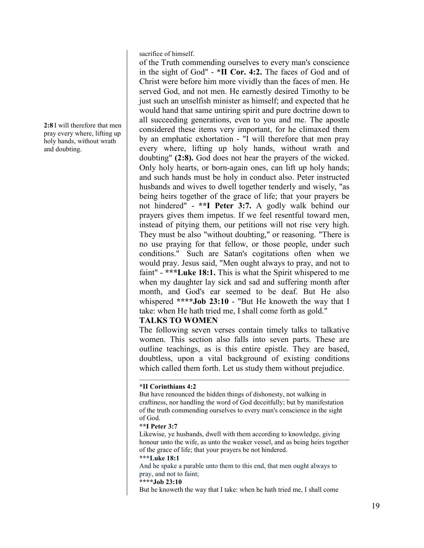**2:8** I will therefore that men pray every where, lifting up holy hands, without wrath and doubting.

sacrifice of himself.

of the Truth commending ourselves to every man's conscience in the sight of God" - **\*II Cor. 4:2.** The faces of God and of Christ were before him more vividly than the faces of men. He served God, and not men. He earnestly desired Timothy to be just such an unselfish minister as himself; and expected that he would hand that same untiring spirit and pure doctrine down to all succeeding generations, even to you and me. The apostle considered these items very important, for he climaxed them by an emphatic exhortation - "I will therefore that men pray every where, lifting up holy hands, without wrath and doubting" **(2:8).** God does not hear the prayers of the wicked. Only holy hearts, or born-again ones, can lift up holy hands; and such hands must be holy in conduct also. Peter instructed husbands and wives to dwell together tenderly and wisely, "as being heirs together of the grace of life; that your prayers be not hindered" - **\*\*I Peter 3:7.** A godly walk behind our prayers gives them impetus. If we feel resentful toward men, instead of pitying them, our petitions will not rise very high. They must be also "without doubting," or reasoning. "There is no use praying for that fellow, or those people, under such conditions." Such are Satan's cogitations often when we would pray. Jesus said, "Men ought always to pray, and not to faint" - **\*\*\*Luke 18:1.** This is what the Spirit whispered to me when my daughter lay sick and sad and suffering month after month, and God's ear seemed to be deaf. But He also whispered **\*\*\*\*Job 23:10** - "But He knoweth the way that I take: when He hath tried me, I shall come forth as gold."

# **TALKS TO WOMEN**

The following seven verses contain timely talks to talkative women. This section also falls into seven parts. These are outline teachings, as is this entire epistle. They are based, doubtless, upon a vital background of existing conditions which called them forth. Let us study them without prejudice.

# **\*\*\*Luke 18:1**

And he spake a parable unto them to this end, that men ought always to pray, and not to faint;

**\*\*\*\*Job 23:10**

But he knoweth the way that I take: when he hath tried me, I shall come

**<sup>\*</sup>II Corinthians 4:2**

But have renounced the hidden things of dishonesty, not walking in craftiness, nor handling the word of God deceitfully; but by manifestation of the truth commending ourselves to every man's conscience in the sight of God.

**<sup>\*\*</sup>I Peter 3:7**

Likewise, ye husbands, dwell with them according to knowledge, giving honour unto the wife, as unto the weaker vessel, and as being heirs together of the grace of life; that your prayers be not hindered.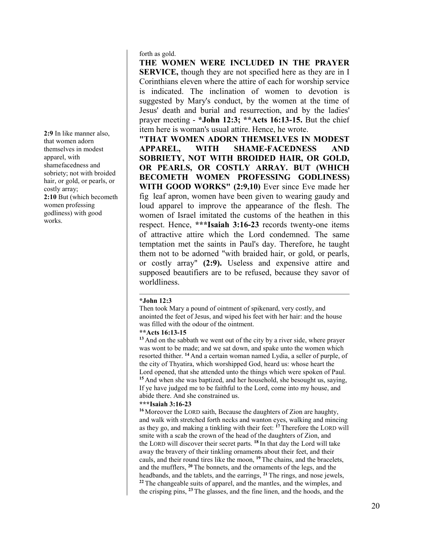forth as gold.

**THE WOMEN WERE INCLUDED IN THE PRAYER SERVICE,** though they are not specified here as they are in I Corinthians eleven where the attire of each for worship service is indicated. The inclination of women to devotion is suggested by Mary's conduct, by the women at the time of Jesus' death and burial and resurrection, and by the ladies' prayer meeting - **\*John 12:3; \*\*Acts 16:13-15.** But the chief item here is woman's usual attire. Hence, he wrote.

**"THAT WOMEN ADORN THEMSELVES IN MODEST APPAREL, WITH SHAME-FACEDNESS AND SOBRIETY, NOT WITH BROIDED HAIR, OR GOLD, OR PEARLS, OR COSTLY ARRAY. BUT (WHICH BECOMETH WOMEN PROFESSING GODLINESS) WITH GOOD WORKS" (2:9,10)** Ever since Eve made her fig leaf apron, women have been given to wearing gaudy and loud apparel to improve the appearance of the flesh. The women of Israel imitated the customs of the heathen in this respect. Hence, **\*\*\*Isaiah 3:16-23** records twenty-one items of attractive attire which the Lord condemned. The same temptation met the saints in Paul's day. Therefore, he taught them not to be adorned "with braided hair, or gold, or pearls, or costly array" **(2:9).** Useless and expensive attire and supposed beautifiers are to be refused, because they savor of worldliness.

# **\*John 12:3**

Then took Mary a pound of ointment of spikenard, very costly, and anointed the feet of Jesus, and wiped his feet with her hair: and the house was filled with the odour of the ointment.

### **\*\*Acts 16:13-15**

**<sup>13</sup>** And on the sabbath we went out of the city by a river side, where prayer was wont to be made; and we sat down, and spake unto the women which resorted thither. **<sup>14</sup>** And a certain woman named Lydia, a seller of purple, of the city of Thyatira, which worshipped God, heard us: whose heart the Lord opened, that she attended unto the things which were spoken of Paul. **<sup>15</sup>** And when she was baptized, and her household, she besought us, saying, If ye have judged me to be faithful to the Lord, come into my house, and abide there. And she constrained us.

### **\*\*\*Isaiah 3:16-23**

**<sup>16</sup>** Moreover the LORD saith, Because the daughters of Zion are haughty, and walk with stretched forth necks and wanton eyes, walking and mincing as they go, and making a tinkling with their feet: **<sup>17</sup>** Therefore the LORD will smite with a scab the crown of the head of the daughters of Zion, and the LORD will discover their secret parts. **<sup>18</sup>** In that day the Lord will take away the bravery of their tinkling ornaments about their feet, and their cauls, and their round tires like the moon, **<sup>19</sup>** The chains, and the bracelets, and the mufflers, **<sup>20</sup>** The bonnets, and the ornaments of the legs, and the headbands, and the tablets, and the earrings, **<sup>21</sup>** The rings, and nose jewels, **<sup>22</sup>** The changeable suits of apparel, and the mantles, and the wimples, and the crisping pins, **<sup>23</sup>** The glasses, and the fine linen, and the hoods, and the

**2:9** In like manner also, that women adorn themselves in modest apparel, with shamefacedness and sobriety; not with broided hair, or gold, or pearls, or costly array; **2:10** But (which becometh women professing godliness) with good works.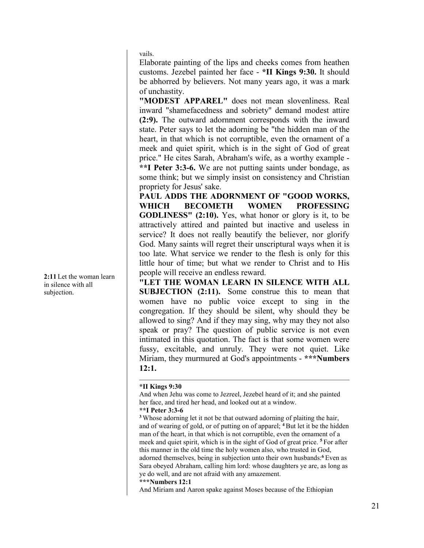vails.

Elaborate painting of the lips and cheeks comes from heathen customs. Jezebel painted her face - **\*II Kings 9:30.** It should be abhorred by believers. Not many years ago, it was a mark of unchastity.

**"MODEST APPAREL"** does not mean slovenliness. Real inward "shamefacedness and sobriety" demand modest attire **(2:9).** The outward adornment corresponds with the inward state. Peter says to let the adorning be "the hidden man of the heart, in that which is not corruptible, even the ornament of a meek and quiet spirit, which is in the sight of God of great price." He cites Sarah, Abraham's wife, as a worthy example - **\*\*I Peter 3:3-6.** We are not putting saints under bondage, as some think; but we simply insist on consistency and Christian propriety for Jesus' sake.

**PAUL ADDS THE ADORNMENT OF "GOOD WORKS, WHICH BECOMETH WOMEN PROFESSING GODLINESS" (2:10).** Yes, what honor or glory is it, to be attractively attired and painted but inactive and useless in service? It does not really beautify the believer, nor glorify God. Many saints will regret their unscriptural ways when it is too late. What service we render to the flesh is only for this little hour of time; but what we render to Christ and to His people will receive an endless reward.

**"LET THE WOMAN LEARN IN SILENCE WITH ALL SUBJECTION (2:11).** Some construe this to mean that women have no public voice except to sing in the congregation. If they should be silent, why should they be allowed to sing? And if they may sing, why may they not also speak or pray? The question of public service is not even intimated in this quotation. The fact is that some women were fussy, excitable, and unruly. They were not quiet. Like Miriam, they murmured at God's appointments - **\*\*\*Numbers 12:1.** 

### **\*II Kings 9:30**

And when Jehu was come to Jezreel, Jezebel heard of it; and she painted her face, and tired her head, and looked out at a window.

# **\*\*I Peter 3:3-6**

**<sup>3</sup>** Whose adorning let it not be that outward adorning of plaiting the hair, and of wearing of gold, or of putting on of apparel; **<sup>4</sup>** But let it be the hidden man of the heart, in that which is not corruptible, even the ornament of a meek and quiet spirit, which is in the sight of God of great price. **<sup>5</sup>** For after this manner in the old time the holy women also, who trusted in God, adorned themselves, being in subjection unto their own husbands:**<sup>6</sup>** Even as Sara obeyed Abraham, calling him lord: whose daughters ye are, as long as ye do well, and are not afraid with any amazement.

**\*\*\*Numbers 12:1** 

And Miriam and Aaron spake against Moses because of the Ethiopian

**2:11** Let the woman learn in silence with all subjection.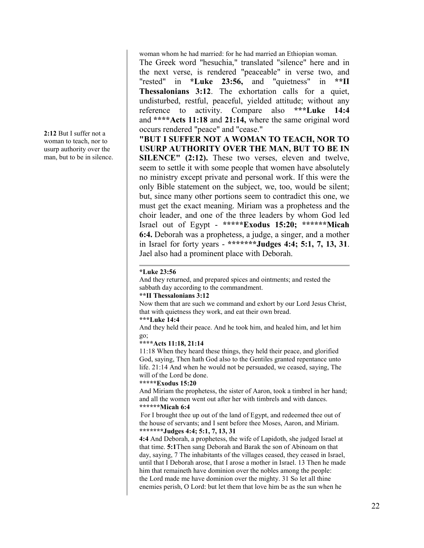woman whom he had married: for he had married an Ethiopian woman.

The Greek word "hesuchia," translated "silence" here and in the next verse, is rendered "peaceable" in verse two, and "rested" in **\*Luke 23:56,** and "quietness" in **\*\*II Thessalonians 3:12**. The exhortation calls for a quiet, undisturbed, restful, peaceful, yielded attitude; without any reference to activity. Compare also **\*\*\*Luke 14:4** and **\*\*\*\*Acts 11:18** and **21:14,** where the same original word occurs rendered "peace" and "cease."

**"BUT I SUFFER NOT A WOMAN TO TEACH, NOR TO USURP AUTHORITY OVER THE MAN, BUT TO BE IN SILENCE" (2:12).** These two verses, eleven and twelve, seem to settle it with some people that women have absolutely no ministry except private and personal work. If this were the only Bible statement on the subject, we, too, would be silent; but, since many other portions seem to contradict this one, we must get the exact meaning. Miriam was a prophetess and the choir leader, and one of the three leaders by whom God led Israel out of Egypt - **\*\*\*\*\*Exodus 15:20; \*\*\*\*\*\*Micah 6:4.** Deborah was a prophetess, a judge, a singer, and a mother in Israel for forty years - **\*\*\*\*\*\*\*Judges 4:4; 5:1, 7, 13, 31**. Jael also had a prominent place with Deborah.

### **\*Luke 23:56**

And they returned, and prepared spices and ointments; and rested the sabbath day according to the commandment.

# **\*\*II Thessalonians 3:12**

Now them that are such we command and exhort by our Lord Jesus Christ, that with quietness they work, and eat their own bread.

# **\*\*\*Luke 14:4**

And they held their peace. And he took him, and healed him, and let him go;

### **\*\*\*\*Acts 11:18, 21:14**

11:18 When they heard these things, they held their peace, and glorified God, saying, Then hath God also to the Gentiles granted repentance unto life. 21:14 And when he would not be persuaded, we ceased, saying, The will of the Lord be done.

#### **\*\*\*\*\*Exodus 15:20**

And Miriam the prophetess, the sister of Aaron, took a timbrel in her hand; and all the women went out after her with timbrels and with dances. **\*\*\*\*\*\*Micah 6:4**

For I brought thee up out of the land of Egypt, and redeemed thee out of the house of servants; and I sent before thee Moses, Aaron, and Miriam. **\*\*\*\*\*\*\*Judges 4:4; 5:1, 7, 13, 31**

**4:4** And Deborah, a prophetess, the wife of Lapidoth, she judged Israel at that time. **5:1**Then sang Deborah and Barak the son of Abinoam on that day, saying, 7 The inhabitants of the villages ceased, they ceased in Israel, until that I Deborah arose, that I arose a mother in Israel. 13 Then he made him that remaineth have dominion over the nobles among the people: the Lord made me have dominion over the mighty. 31 So let all thine enemies perish, O Lord: but let them that love him be as the sun when he

**2:12** But I suffer not a woman to teach, nor to usurp authority over the man, but to be in silence.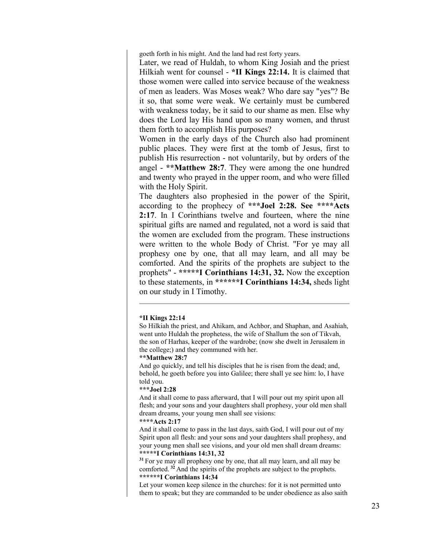goeth forth in his might. And the land had rest forty years.

Later, we read of Huldah, to whom King Josiah and the priest Hilkiah went for counsel - **\*II Kings 22:14.** It is claimed that those women were called into service because of the weakness of men as leaders. Was Moses weak? Who dare say "yes"? Be it so, that some were weak. We certainly must be cumbered with weakness today, be it said to our shame as men. Else why does the Lord lay His hand upon so many women, and thrust them forth to accomplish His purposes?

Women in the early days of the Church also had prominent public places. They were first at the tomb of Jesus, first to publish His resurrection - not voluntarily, but by orders of the angel - **\*\*Matthew 28:7**. They were among the one hundred and twenty who prayed in the upper room, and who were filled with the Holy Spirit.

The daughters also prophesied in the power of the Spirit, according to the prophecy of **\*\*\*Joel 2:28. See \*\*\*\*Acts 2:17**. In I Corinthians twelve and fourteen, where the nine spiritual gifts are named and regulated, not a word is said that the women are excluded from the program. These instructions were written to the whole Body of Christ. "For ye may all prophesy one by one, that all may learn, and all may be comforted. And the spirits of the prophets are subject to the prophets" - **\*\*\*\*\*I Corinthians 14:31, 32.** Now the exception to these statements, in **\*\*\*\*\*\*I Corinthians 14:34,** sheds light on our study in I Timothy.

### **\*II Kings 22:14**

So Hilkiah the priest, and Ahikam, and Achbor, and Shaphan, and Asahiah, went unto Huldah the prophetess, the wife of Shallum the son of Tikvah, the son of Harhas, keeper of the wardrobe; (now she dwelt in Jerusalem in the college;) and they communed with her.

#### **\*\*Matthew 28:7**

And go quickly, and tell his disciples that he is risen from the dead; and, behold, he goeth before you into Galilee; there shall ye see him: lo, I have told you.

#### **\*\*\*Joel 2:28**

And it shall come to pass afterward, that I will pour out my spirit upon all flesh; and your sons and your daughters shall prophesy, your old men shall dream dreams, your young men shall see visions:

## **\*\*\*\*Acts 2:17**

And it shall come to pass in the last days, saith God, I will pour out of my Spirit upon all flesh: and your sons and your daughters shall prophesy, and your young men shall see visions, and your old men shall dream dreams: **\*\*\*\*\*I Corinthians 14:31, 32**

**<sup>31</sup>** For ye may all prophesy one by one, that all may learn, and all may be comforted. **<sup>32</sup>** And the spirits of the prophets are subject to the prophets. **\*\*\*\*\*\*I Corinthians 14:34**

Let your women keep silence in the churches: for it is not permitted unto them to speak; but they are commanded to be under obedience as also saith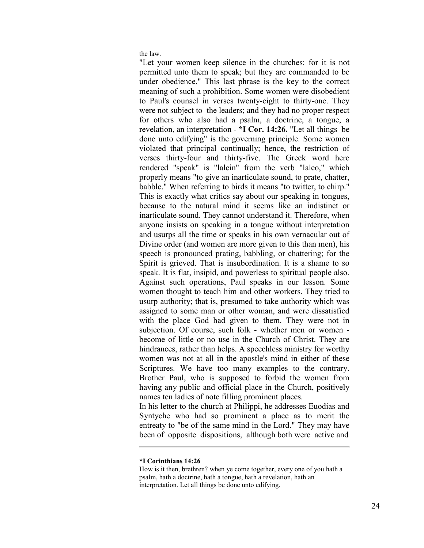the law.

"Let your women keep silence in the churches: for it is not permitted unto them to speak; but they are commanded to be under obedience." This last phrase is the key to the correct meaning of such a prohibition. Some women were disobedient to Paul's counsel in verses twenty-eight to thirty-one. They were not subject to the leaders; and they had no proper respect for others who also had a psalm, a doctrine, a tongue, a revelation, an interpretation - **\*I Cor. 14:26.** "Let all things be done unto edifying" is the governing principle. Some women violated that principal continually; hence, the restriction of verses thirty-four and thirty-five. The Greek word here rendered "speak" is "lalein" from the verb "laleo," which properly means "to give an inarticulate sound, to prate, chatter, babble." When referring to birds it means "to twitter, to chirp." This is exactly what critics say about our speaking in tongues, because to the natural mind it seems like an indistinct or inarticulate sound. They cannot understand it. Therefore, when anyone insists on speaking in a tongue without interpretation and usurps all the time or speaks in his own vernacular out of Divine order (and women are more given to this than men), his speech is pronounced prating, babbling, or chattering; for the Spirit is grieved. That is insubordination. It is a shame to so speak. It is flat, insipid, and powerless to spiritual people also. Against such operations, Paul speaks in our lesson. Some women thought to teach him and other workers. They tried to usurp authority; that is, presumed to take authority which was assigned to some man or other woman, and were dissatisfied with the place God had given to them. They were not in subjection. Of course, such folk - whether men or women become of little or no use in the Church of Christ. They are hindrances, rather than helps. A speechless ministry for worthy women was not at all in the apostle's mind in either of these Scriptures. We have too many examples to the contrary. Brother Paul, who is supposed to forbid the women from having any public and official place in the Church, positively names ten ladies of note filling prominent places.

In his letter to the church at Philippi, he addresses Euodias and Syntyche who had so prominent a place as to merit the entreaty to "be of the same mind in the Lord." They may have been of opposite dispositions, although both were active and

### **\*I Corinthians 14:26**

How is it then, brethren? when ye come together, every one of you hath a psalm, hath a doctrine, hath a tongue, hath a revelation, hath an interpretation. Let all things be done unto edifying.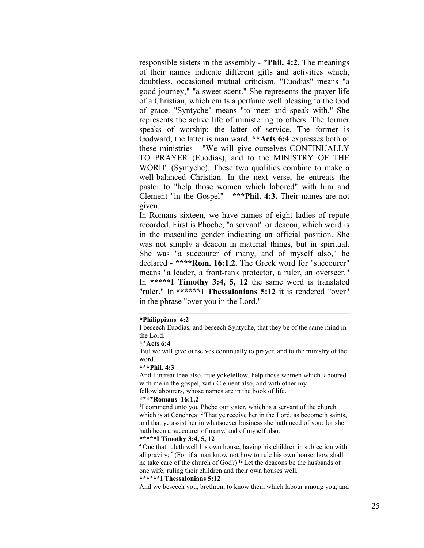responsible sisters in the assembly - **\*Phil. 4:2.** The meanings of their names indicate different gifts and activities which, doubtless, occasioned mutual criticism. "Euodias" means "a good journey," "a sweet scent." She represents the prayer life of a Christian, which emits a perfume well pleasing to the God of grace. "Syntyche" means "to meet and speak with." She represents the active life of ministering to others. The former speaks of worship; the latter of service. The former is Godward; the latter is man ward. **\*\*Acts 6:4** expresses both of these ministries - "We will give ourselves CONTINUALLY TO PRAYER (Euodias), and to the MINISTRY OF THE WORD" (Syntyche). These two qualities combine to make a well-balanced Christian. In the next verse, he entreats the pastor to "help those women which labored" with him and Clement "in the Gospel" - **\*\*\*Phil. 4:3.** Their names are not given.

In Romans sixteen, we have names of eight ladies of repute recorded. First is Phoebe, "a servant" or deacon, which word is in the masculine gender indicating an official position. She was not simply a deacon in material things, but in spiritual. She was "a succourer of many, and of myself also," he declared - **\*\*\*\*Rom. 16:1,2.** The Greek word for "succourer" means "a leader, a front-rank protector, a ruler, an overseer." In **\*\*\*\*\*I Timothy 3:4, 5, 12** the same word is translated "ruler." In **\*\*\*\*\*\*I Thessalonians 5:12** it is rendered "over" in the phrase "over you in the Lord."

### **\*Philippians 4:2**

I beseech Euodias, and beseech Syntyche, that they be of the same mind in the Lord.

#### **\*\*Acts 6:4**

But we will give ourselves continually to prayer, and to the ministry of the word.

#### **\*\*\*Phil. 4:3**

And I intreat thee also, true yokefellow, help those women which laboured with me in the gospel, with Clement also, and with other my fellowlabourers, whose names are in the book of life.

#### **\*\*\*\*Romans 16:1,2**

<sup>1</sup>I commend unto you Phebe our sister, which is a servant of the church which is at Cenchrea: <sup>2</sup> That ye receive her in the Lord, as becometh saints, and that ye assist her in whatsoever business she hath need of you: for she hath been a succourer of many, and of myself also.

# **\*\*\*\*\*I Timothy 3:4, 5, 12**

**<sup>4</sup>** One that ruleth well his own house, having his children in subjection with all gravity; **<sup>5</sup>** (For if a man know not how to rule his own house, how shall he take care of the church of God?) **<sup>12</sup>** Let the deacons be the husbands of one wife, ruling their children and their own houses well.

### **\*\*\*\*\*\*I Thessalonians 5:12**

And we beseech you, brethren, to know them which labour among you, and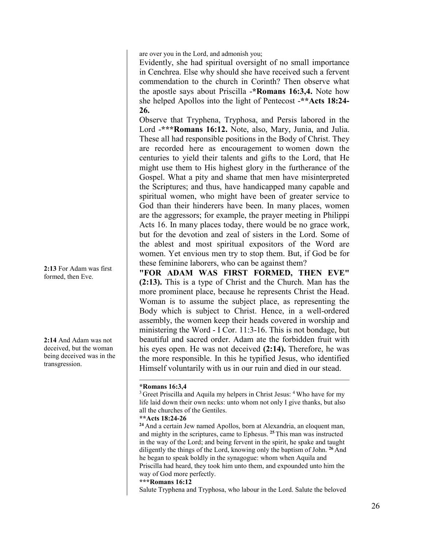are over you in the Lord, and admonish you;

Evidently, she had spiritual oversight of no small importance in Cenchrea. Else why should she have received such a fervent commendation to the church in Corinth? Then observe what the apostle says about Priscilla -**\*Romans 16:3,4.** Note how she helped Apollos into the light of Pentecost -**\*\*Acts 18:24- 26.**

Observe that Tryphena, Tryphosa, and Persis labored in the Lord -**\*\*\*Romans 16:12.** Note, also, Mary, Junia, and Julia. These all had responsible positions in the Body of Christ. They are recorded here as encouragement to women down the centuries to yield their talents and gifts to the Lord, that He might use them to His highest glory in the furtherance of the Gospel. What a pity and shame that men have misinterpreted the Scriptures; and thus, have handicapped many capable and spiritual women, who might have been of greater service to God than their hinderers have been. In many places, women are the aggressors; for example, the prayer meeting in Philippi Acts 16. In many places today, there would be no grace work, but for the devotion and zeal of sisters in the Lord. Some of the ablest and most spiritual expositors of the Word are women. Yet envious men try to stop them. But, if God be for these feminine laborers, who can be against them?

**"FOR ADAM WAS FIRST FORMED, THEN EVE" (2:13).** This is a type of Christ and the Church. Man has the more prominent place, because he represents Christ the Head. Woman is to assume the subject place, as representing the Body which is subject to Christ. Hence, in a well-ordered assembly, the women keep their heads covered in worship and ministering the Word - I Cor. 11:3-16. This is not bondage, but beautiful and sacred order. Adam ate the forbidden fruit with his eyes open. He was not deceived **(2:14).** Therefore, he was the more responsible. In this he typified Jesus, who identified Himself voluntarily with us in our ruin and died in our stead.

**<sup>24</sup>** And a certain Jew named Apollos, born at Alexandria, an eloquent man, and mighty in the scriptures, came to Ephesus. **<sup>25</sup>** This man was instructed in the way of the Lord; and being fervent in the spirit, he spake and taught diligently the things of the Lord, knowing only the baptism of John. **<sup>26</sup>** And he began to speak boldly in the synagogue: whom when Aquila and Priscilla had heard, they took him unto them, and expounded unto him the way of God more perfectly.

**\*\*\*Romans 16:12**

Salute Tryphena and Tryphosa, who labour in the Lord. Salute the beloved

**2:13** For Adam was first formed, then Eve.

**2:14** And Adam was not deceived, but the woman being deceived was in the transgression.

**<sup>\*</sup>Romans 16:3,4**

<sup>&</sup>lt;sup>3</sup> Greet Priscilla and Aquila my helpers in Christ Jesus: <sup>4</sup> Who have for my life laid down their own necks: unto whom not only I give thanks, but also all the churches of the Gentiles.

**<sup>\*\*</sup>Acts 18:24-26**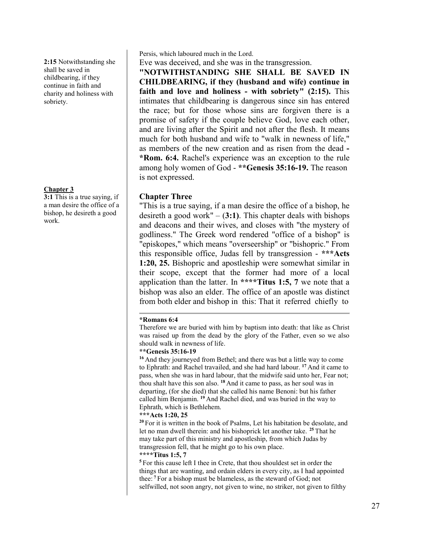**2:15** Notwithstanding she shall be saved in childbearing, if they continue in faith and charity and holiness with sobriety.

# **Chapter 3**

**3:1** This is a true saying, if a man desire the office of a bishop, he desireth a good work.

Persis, which laboured much in the Lord.

Eve was deceived, and she was in the transgression.

**"NOTWITHSTANDING SHE SHALL BE SAVED IN CHILDBEARING, if they (husband and wife) continue in faith and love and holiness - with sobriety" (2:15).** This intimates that childbearing is dangerous since sin has entered the race; but for those whose sins are forgiven there is a promise of safety if the couple believe God, love each other, and are living after the Spirit and not after the flesh. It means much for both husband and wife to "walk in newness of life," as members of the new creation and as risen from the dead **- \*Rom. 6:4.** Rachel's experience was an exception to the rule among holy women of God - **\*\*Genesis 35:16-19.** The reason is not expressed.

# **Chapter Three**

"This is a true saying, if a man desire the office of a bishop, he desireth a good work" – (**3:1)**. This chapter deals with bishops and deacons and their wives, and closes with "the mystery of godliness." The Greek word rendered "office of a bishop" is "episkopes," which means "overseership" or "bishopric." From this responsible office, Judas fell by transgression - **\*\*\*Acts 1:20, 25.** Bishopric and apostleship were somewhat similar in their scope, except that the former had more of a local application than the latter. In **\*\*\*\*Titus 1:5, 7** we note that a bishop was also an elder. The office of an apostle was distinct from both elder and bishop in this: That it referred chiefly to

# **\*Romans 6:4**

Therefore we are buried with him by baptism into death: that like as Christ was raised up from the dead by the glory of the Father, even so we also should walk in newness of life.

# **\*\*Genesis 35:16-19**

**<sup>16</sup>** And they journeyed from Bethel; and there was but a little way to come to Ephrath: and Rachel travailed, and she had hard labour. **<sup>17</sup>** And it came to pass, when she was in hard labour, that the midwife said unto her, Fear not; thou shalt have this son also. **<sup>18</sup>** And it came to pass, as her soul was in departing, (for she died) that she called his name Benoni: but his father called him Benjamin. **<sup>19</sup>** And Rachel died, and was buried in the way to Ephrath, which is Bethlehem.

# **\*\*\*Acts 1:20, 25**

**<sup>20</sup>** For it is written in the book of Psalms, Let his habitation be desolate, and let no man dwell therein: and his bishoprick let another take.**<sup>25</sup>** That he may take part of this ministry and apostleship, from which Judas by transgression fell, that he might go to his own place.

# **\*\*\*\*Titus 1:5, 7**

**<sup>5</sup>** For this cause left I thee in Crete, that thou shouldest set in order the things that are wanting, and ordain elders in every city, as I had appointed thee: **<sup>7</sup>** For a bishop must be blameless, as the steward of God; not selfwilled, not soon angry, not given to wine, no striker, not given to filthy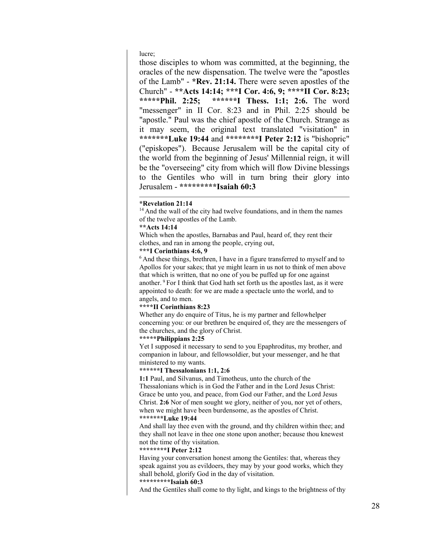lucre;

those disciples to whom was committed, at the beginning, the oracles of the new dispensation. The twelve were the "apostles of the Lamb" - **\*Rev. 21:14.** There were seven apostles of the Church" - \*\*Acts 14:14; \*\*\*I Cor. 4:6, 9; \*\*\*\*II Cor. 8:23;<br>\*\*\*\*\*Phil. 2:25: \*\*\*\*\*\*I Thess. 1:1; 2:6. The word \*\*\*\*\*\*I Thess. 1:1; 2:6. The word "messenger" in II Cor. 8:23 and in Phil. 2:25 should be "apostle." Paul was the chief apostle of the Church. Strange as it may seem, the original text translated "visitation" in **\*\*\*\*\*\*\*Luke 19:44** and **\*\*\*\*\*\*\*\*I Peter 2:12** is "bishopric" ("episkopes"). Because Jerusalem will be the capital city of the world from the beginning of Jesus' Millennial reign, it will be the "overseeing" city from which will flow Divine blessings to the Gentiles who will in turn bring their glory into Jerusalem - **\*\*\*\*\*\*\*\*\*Isaiah 60:3**

### **\*Revelation 21:14**

<sup>14</sup> And the wall of the city had twelve foundations, and in them the names of the twelve apostles of the Lamb.

# **\*\*Acts 14:14**

Which when the apostles, Barnabas and Paul, heard of, they rent their clothes, and ran in among the people, crying out,

# **\*\*\*I Corinthians 4:6, 9**

<sup>6</sup> And these things, brethren, I have in a figure transferred to myself and to Apollos for your sakes; that ye might learn in us not to think of men above that which is written, that no one of you be puffed up for one against another. <sup>9</sup> For I think that God hath set forth us the apostles last, as it were appointed to death: for we are made a spectacle unto the world, and to angels, and to men.

### **\*\*\*\*II Corinthians 8:23**

Whether any do enquire of Titus, he is my partner and fellowhelper concerning you: or our brethren be enquired of, they are the messengers of the churches, and the glory of Christ.

# **\*\*\*\*\*Philippians 2:25**

Yet I supposed it necessary to send to you Epaphroditus, my brother, and companion in labour, and fellowsoldier, but your messenger, and he that ministered to my wants.

#### **\*\*\*\*\*\*I Thessalonians 1:1, 2:6**

**1:1** Paul, and Silvanus, and Timotheus, unto the church of the Thessalonians which is in God the Father and in the Lord Jesus Christ: Grace be unto you, and peace, from God our Father, and the Lord Jesus Christ. **2:6** Nor of men sought we glory, neither of you, nor yet of others, when we might have been burdensome, as the apostles of Christ. **\*\*\*\*\*\*\*Luke 19:44** 

And shall lay thee even with the ground, and thy children within thee; and they shall not leave in thee one stone upon another; because thou knewest not the time of thy visitation.

#### **\*\*\*\*\*\*\*\*I Peter 2:12**

Having your conversation honest among the Gentiles: that, whereas they speak against you as evildoers, they may by your good works, which they shall behold, glorify God in the day of visitation.

### **\*\*\*\*\*\*\*\*\*Isaiah 60:3**

And the Gentiles shall come to thy light, and kings to the brightness of thy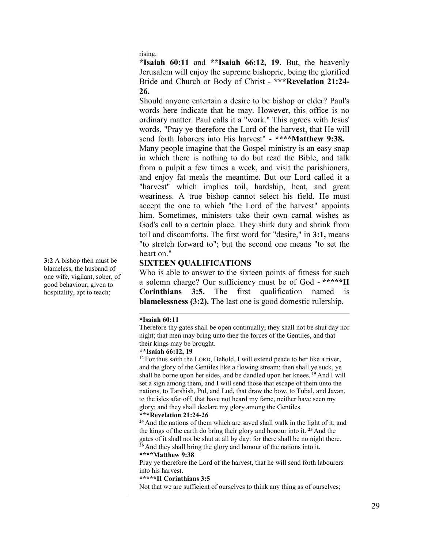rising.

**\*Isaiah 60:11** and **\*\*Isaiah 66:12, 19**. But, the heavenly Jerusalem will enjoy the supreme bishopric, being the glorified Bride and Church or Body of Christ - **\*\*\*Revelation 21:24- 26.**

Should anyone entertain a desire to be bishop or elder? Paul's words here indicate that he may. However, this office is no ordinary matter. Paul calls it a "work." This agrees with Jesus' words, "Pray ye therefore the Lord of the harvest, that He will send forth laborers into His harvest" - **\*\*\*\*Matthew 9:38.**

Many people imagine that the Gospel ministry is an easy snap in which there is nothing to do but read the Bible, and talk from a pulpit a few times a week, and visit the parishioners, and enjoy fat meals the meantime. But our Lord called it a "harvest" which implies toil, hardship, heat, and great weariness. A true bishop cannot select his field. He must accept the one to which "the Lord of the harvest" appoints him. Sometimes, ministers take their own carnal wishes as God's call to a certain place. They shirk duty and shrink from toil and discomforts. The first word for "desire," in **3:1,** means "to stretch forward to"; but the second one means "to set the heart on."

# **SIXTEEN QUALIFICATIONS**

Who is able to answer to the sixteen points of fitness for such a solemn charge? Our sufficiency must be of God - **\*\*\*\*\*II Corinthians 3:5.** The first qualification named **blamelessness (3:2).** The last one is good domestic rulership.

# **\*Isaiah 60:11**

Therefore thy gates shall be open continually; they shall not be shut day nor night; that men may bring unto thee the forces of the Gentiles, and that their kings may be brought.

# **\*\*Isaiah 66:12, 19**

 $12$  For thus saith the LORD, Behold, I will extend peace to her like a river, and the glory of the Gentiles like a flowing stream: then shall ye suck, ye shall be borne upon her sides, and be dandled upon her knees. <sup>19</sup> And I will set a sign among them, and I will send those that escape of them unto the nations, to Tarshish, Pul, and Lud, that draw the bow, to Tubal, and Javan, to the isles afar off, that have not heard my fame, neither have seen my glory; and they shall declare my glory among the Gentiles.

# **\*\*\*Revelation 21:24-26**

**<sup>24</sup>** And the nations of them which are saved shall walk in the light of it: and the kings of the earth do bring their glory and honour into it. **<sup>25</sup>** And the gates of it shall not be shut at all by day: for there shall be no night there. **<sup>26</sup>** And they shall bring the glory and honour of the nations into it.

# **\*\*\*\*Matthew 9:38**

Pray ye therefore the Lord of the harvest, that he will send forth labourers into his harvest.

# **\*\*\*\*\*II Corinthians 3:5**

Not that we are sufficient of ourselves to think any thing as of ourselves;

**3:2** A bishop then must be blameless, the husband of one wife, vigilant, sober, of good behaviour, given to hospitality, apt to teach;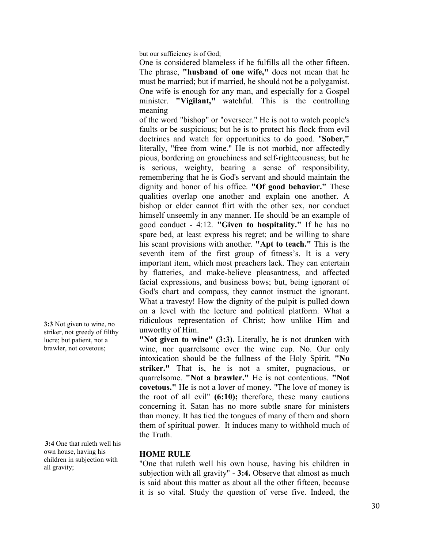but our sufficiency is of God;

One is considered blameless if he fulfills all the other fifteen. The phrase, **"husband of one wife,"** does not mean that he must be married; but if married, he should not be a polygamist. One wife is enough for any man, and especially for a Gospel minister. **"Vigilant,"** watchful. This is the controlling meaning

of the word "bishop" or "overseer." He is not to watch people's faults or be suspicious; but he is to protect his flock from evil doctrines and watch for opportunities to do good. "**Sober,"** literally, "free from wine." He is not morbid, nor affectedly pious, bordering on grouchiness and self-righteousness; but he is serious, weighty, bearing a sense of responsibility, remembering that he is God's servant and should maintain the dignity and honor of his office. **"Of good behavior."** These qualities overlap one another and explain one another. A bishop or elder cannot flirt with the other sex, nor conduct himself unseemly in any manner. He should be an example of good conduct - 4:12. **"Given to hospitality."** If he has no spare bed, at least express his regret; and be willing to share his scant provisions with another. **"Apt to teach."** This is the seventh item of the first group of fitness's. It is a very important item, which most preachers lack. They can entertain by flatteries, and make-believe pleasantness, and affected facial expressions, and business bows; but, being ignorant of God's chart and compass, they cannot instruct the ignorant. What a travesty! How the dignity of the pulpit is pulled down on a level with the lecture and political platform. What a ridiculous representation of Christ; how unlike Him and unworthy of Him.

**"Not given to wine" (3:3).** Literally, he is not drunken with wine, nor quarrelsome over the wine cup. No. Our only intoxication should be the fullness of the Holy Spirit. **"No striker."** That is, he is not a smiter, pugnacious, or quarrelsome. **"Not a brawler."** He is not contentious. **"Not covetous."** He is not a lover of money. "The love of money is the root of all evil" **(6:10);** therefore, these many cautions concerning it. Satan has no more subtle snare for ministers than money. It has tied the tongues of many of them and shorn them of spiritual power. It induces many to withhold much of the Truth.

# **HOME RULE**

"One that ruleth well his own house, having his children in subjection with all gravity" - **3:4.** Observe that almost as much is said about this matter as about all the other fifteen, because it is so vital. Study the question of verse five. Indeed, the

**3:3** Not given to wine, no striker, not greedy of filthy lucre; but patient, not a brawler, not covetous;

**3:4** One that ruleth well his own house, having his children in subjection with all gravity;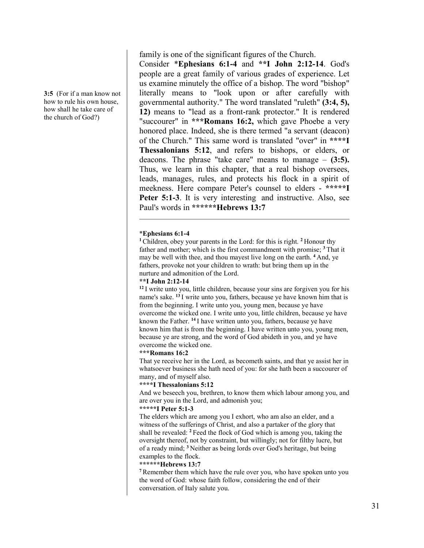**3:5** (For if a man know not how to rule his own house, how shall he take care of the church of God?)

family is one of the significant figures of the Church.

Consider \***Ephesians 6:1-4** and **\*\*I John 2:12-14**. God's people are a great family of various grades of experience. Let us examine minutely the office of a bishop. The word "bishop" literally means to "look upon or after carefully with governmental authority." The word translated "ruleth" **(3:4, 5), 12)** means to "lead as a front-rank protector." It is rendered "succourer" in **\*\*\*Romans 16:2,** which gave Phoebe a very honored place. Indeed, she is there termed "a servant (deacon) of the Church." This same word is translated "over" in **\*\*\*\*I Thessalonians 5:12**, and refers to bishops, or elders, or deacons. The phrase "take care" means to manage – **(3:5).** Thus, we learn in this chapter, that a real bishop oversees, leads, manages, rules, and protects his flock in a spirit of meekness. Here compare Peter's counsel to elders - **\*\*\*\*\*I Peter 5:1-3**. It is very interesting and instructive. Also, see Paul's words in **\*\*\*\*\*\*Hebrews 13:7**

# \***Ephesians 6:1-4**

**<sup>1</sup>**Children, obey your parents in the Lord: for this is right. **<sup>2</sup>** Honour thy father and mother; which is the first commandment with promise; **<sup>3</sup>** That it may be well with thee, and thou mayest live long on the earth. **<sup>4</sup>** And, ye fathers, provoke not your children to wrath: but bring them up in the nurture and admonition of the Lord.

# **\*\*I John 2:12-14**

**<sup>12</sup>** I write unto you, little children, because your sins are forgiven you for his name's sake. **<sup>13</sup>** I write unto you, fathers, because ye have known him that is from the beginning. I write unto you, young men, because ye have overcome the wicked one. I write unto you, little children, because ye have known the Father. **<sup>14</sup>** I have written unto you, fathers, because ye have known him that is from the beginning. I have written unto you, young men, because ye are strong, and the word of God abideth in you, and ye have overcome the wicked one.

## **\*\*\*Romans 16:2**

That ye receive her in the Lord, as becometh saints, and that ye assist her in whatsoever business she hath need of you: for she hath been a succourer of many, and of myself also.

### **\*\*\*\*I Thessalonians 5:12**

And we beseech you, brethren, to know them which labour among you, and are over you in the Lord, and admonish you;

# **\*\*\*\*\*I Peter 5:1-3**

The elders which are among you I exhort, who am also an elder, and a witness of the sufferings of Christ, and also a partaker of the glory that shall be revealed: **<sup>2</sup>** Feed the flock of God which is among you, taking the oversight thereof, not by constraint, but willingly; not for filthy lucre, but of a ready mind; **<sup>3</sup>** Neither as being lords over God's heritage, but being examples to the flock.

### **\*\*\*\*\*\*Hebrews 13:7**

**<sup>7</sup>** Remember them which have the rule over you, who have spoken unto you the word of God: whose faith follow, considering the end of their conversation. of Italy salute you.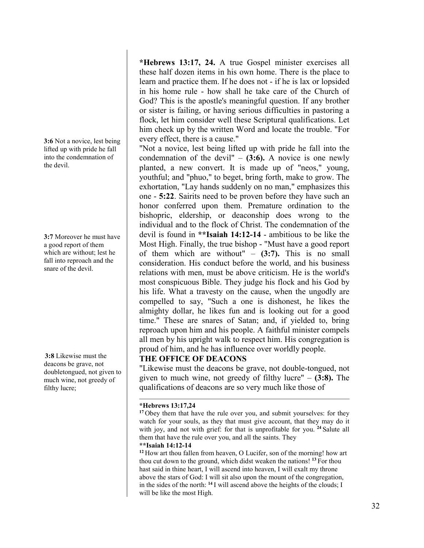**3:6** Not a novice, lest being lifted up with pride he fall into the condemnation of the devil.

**3:7** Moreover he must have a good report of them which are without; lest he fall into reproach and the snare of the devil.

**3:8** Likewise must the deacons be grave, not doubletongued, not given to much wine, not greedy of filthy lucre;

**\*Hebrews 13:17, 24.** A true Gospel minister exercises all these half dozen items in his own home. There is the place to learn and practice them. If he does not - if he is lax or lopsided in his home rule - how shall he take care of the Church of God? This is the apostle's meaningful question. If any brother or sister is failing, or having serious difficulties in pastoring a flock, let him consider well these Scriptural qualifications. Let him check up by the written Word and locate the trouble. "For every effect, there is a cause."

"Not a novice, lest being lifted up with pride he fall into the condemnation of the devil" – **(3:6).** A novice is one newly planted, a new convert. It is made up of "neos," young, youthful; and "phuo," to beget, bring forth, make to grow. The exhortation, "Lay hands suddenly on no man," emphasizes this one - **5:22**. Sairits need to be proven before they have such an honor conferred upon them. Premature ordination to the bishopric, eldership, or deaconship does wrong to the individual and to the flock of Christ. The condemnation of the devil is found in **\*\*Isaiah 14:12-14** - ambitious to be like the Most High. Finally, the true bishop - "Must have a good report of them which are without" – **(3:7).** This is no small consideration. His conduct before the world, and his business relations with men, must be above criticism. He is the world's most conspicuous Bible. They judge his flock and his God by his life. What a travesty on the cause, when the ungodly are compelled to say, "Such a one is dishonest, he likes the almighty dollar, he likes fun and is looking out for a good time." These are snares of Satan; and, if yielded to, bring reproach upon him and his people. A faithful minister compels all men by his upright walk to respect him. His congregation is proud of him, and he has influence over worldly people.

# **THE OFFICE OF DEACONS**

"Likewise must the deacons be grave, not double-tongued, not given to much wine, not greedy of filthy lucre" – **(3:8).** The qualifications of deacons are so very much like those of

# **\*Hebrews 13:17,24**

**<sup>17</sup>** Obey them that have the rule over you, and submit yourselves: for they watch for your souls, as they that must give account, that they may do it with joy, and not with grief: for that is unprofitable for you. **<sup>24</sup>** Salute all them that have the rule over you, and all the saints. They

# **\*\*Isaiah 14:12-14**

**<sup>12</sup>** How art thou fallen from heaven, O Lucifer, son of the morning! how art thou cut down to the ground, which didst weaken the nations! **<sup>13</sup>** For thou hast said in thine heart, I will ascend into heaven, I will exalt my throne above the stars of God: I will sit also upon the mount of the congregation, in the sides of the north: **<sup>14</sup>** I will ascend above the heights of the clouds; I will be like the most High.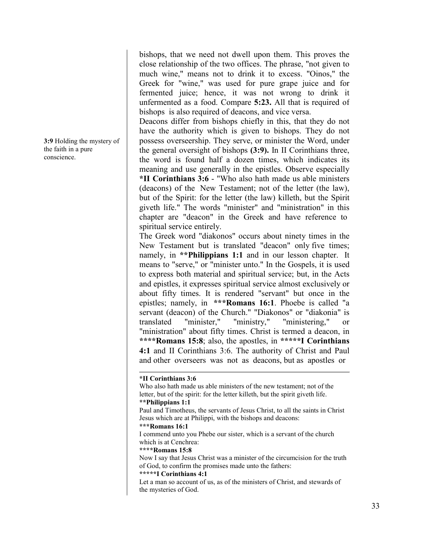bishops, that we need not dwell upon them. This proves the close relationship of the two offices. The phrase, "not given to much wine," means not to drink it to excess. "Oinos," the Greek for "wine," was used for pure grape juice and for fermented juice; hence, it was not wrong to drink it unfermented as a food. Compare **5:23.** All that is required of bishops is also required of deacons, and vice versa.

Deacons differ from bishops chiefly in this, that they do not have the authority which is given to bishops. They do not possess overseership. They serve, or minister the Word, under the general oversight of bishops **(3:9).** In II Corinthians three, the word is found half a dozen times, which indicates its meaning and use generally in the epistles. Observe especially **\*II Corinthians 3:6** - "Who also hath made us able ministers (deacons) of the New Testament; not of the letter (the law), but of the Spirit: for the letter (the law) killeth, but the Spirit giveth life." The words "minister" and "ministration" in this chapter are "deacon" in the Greek and have reference to spiritual service entirely.

The Greek word "diakonos" occurs about ninety times in the New Testament but is translated "deacon" only five times; namely, in **\*\*Philippians 1:1** and in our lesson chapter. It means to "serve," or "minister unto." In the Gospels, it is used to express both material and spiritual service; but, in the Acts and epistles, it expresses spiritual service almost exclusively or about fifty times. It is rendered "servant" but once in the epistles; namely, in **\*\*\*Romans 16:1**. Phoebe is called "a servant (deacon) of the Church." "Diakonos" or "diakonia" is translated "minister," "ministry," "ministering," or "ministration" about fifty times. Christ is termed a deacon, in **\*\*\*\*Romans 15:8**; also, the apostles, in **\*\*\*\*\*I Corinthians 4:1** and II Corinthians 3:6. The authority of Christ and Paul and other overseers was not as deacons, but as apostles or

#### **\*II Corinthians 3:6**

Who also hath made us able ministers of the new testament; not of the letter, but of the spirit: for the letter killeth, but the spirit giveth life. **\*\*Philippians 1:1** Paul and Timotheus, the servants of Jesus Christ, to all the saints in Christ Jesus which are at Philippi, with the bishops and deacons: **\*\*\*Romans 16:1** I commend unto you Phebe our sister, which is a servant of the church which is at Cenchrea: **\*\*\*\*Romans 15:8** Now I say that Jesus Christ was a minister of the circumcision for the truth of God, to confirm the promises made unto the fathers: **\*\*\*\*\*I Corinthians 4:1**  Let a man so account of us, as of the ministers of Christ, and stewards of the mysteries of God.

**3:9** Holding the mystery of the faith in a pure conscience.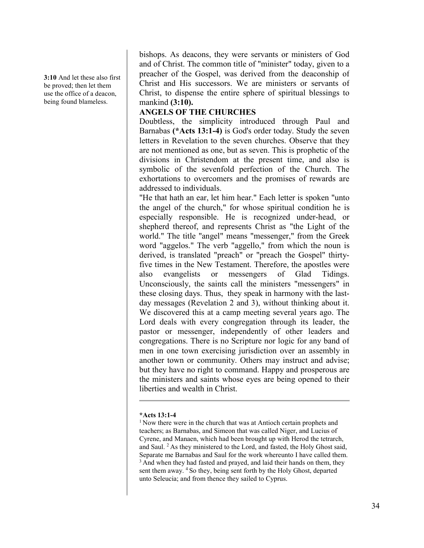**3:10** And let these also first be proved; then let them use the office of a deacon, being found blameless.

bishops. As deacons, they were servants or ministers of God and of Christ. The common title of "minister" today, given to a preacher of the Gospel, was derived from the deaconship of Christ and His successors. We are ministers or servants of Christ, to dispense the entire sphere of spiritual blessings to mankind **(3:10).**

# **ANGELS OF THE CHURCHES**

Doubtless, the simplicity introduced through Paul and Barnabas **(\*Acts 13:1-4)** is God's order today. Study the seven letters in Revelation to the seven churches. Observe that they are not mentioned as one, but as seven. This is prophetic of the divisions in Christendom at the present time, and also is symbolic of the sevenfold perfection of the Church. The exhortations to overcomers and the promises of rewards are addressed to individuals.

"He that hath an ear, let him hear." Each letter is spoken "unto the angel of the church," for whose spiritual condition he is especially responsible. He is recognized under-head, or shepherd thereof, and represents Christ as "the Light of the world." The title "angel" means "messenger," from the Greek word "aggelos." The verb "aggello," from which the noun is derived, is translated "preach" or "preach the Gospel" thirtyfive times in the New Testament. Therefore, the apostles were also evangelists or messengers of Glad Tidings. Unconsciously, the saints call the ministers "messengers" in these closing days. Thus, they speak in harmony with the lastday messages (Revelation 2 and 3), without thinking about it. We discovered this at a camp meeting several years ago. The Lord deals with every congregation through its leader, the pastor or messenger, independently of other leaders and congregations. There is no Scripture nor logic for any band of men in one town exercising jurisdiction over an assembly in another town or community. Others may instruct and advise; but they have no right to command. Happy and prosperous are the ministers and saints whose eyes are being opened to their liberties and wealth in Christ.

# **\*Acts 13:1-4**

<sup>&</sup>lt;sup>1</sup> Now there were in the church that was at Antioch certain prophets and teachers; as Barnabas, and Simeon that was called Niger, and Lucius of Cyrene, and Manaen, which had been brought up with Herod the tetrarch, and Saul. 2 As they ministered to the Lord, and fasted, the Holy Ghost said, Separate me Barnabas and Saul for the work whereunto I have called them. <sup>3</sup> And when they had fasted and prayed, and laid their hands on them, they sent them away. <sup>4</sup> So they, being sent forth by the Holy Ghost, departed unto Seleucia; and from thence they sailed to Cyprus.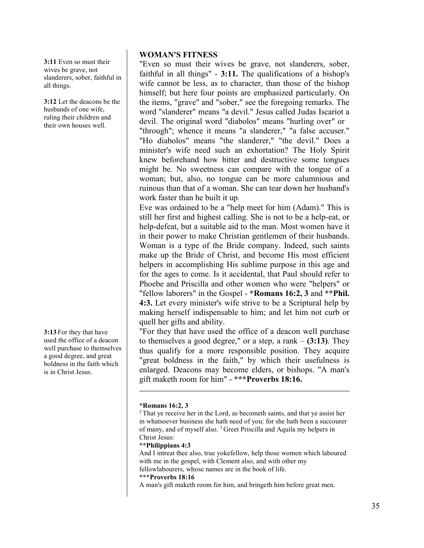**3:11** Even so must their wives be grave, not slanderers, sober, faithful in all things.

**3:12** Let the deacons be the husbands of one wife, ruling their children and their own houses well.

**3:13** For they that have used the office of a deacon well purchase to themselves a good degree, and great boldness in the faith which is in Christ Jesus.

# **WOMAN'S FITNESS**

"Even so must their wives be grave, not slanderers, sober, faithful in all things" - **3:11.** The qualifications of a bishop's wife cannot be less, as to character, than those of the bishop himself; but here four points are emphasized particularly. On the items, "grave" and "sober," see the foregoing remarks. The word "slanderer" means "a devil." Jesus called Judas Iscariot a devil. The original word "diabolos" means "hurling over" or "through"; whence it means "a slanderer," "a false accuser." "Ho diabolos" means "the slanderer," "the devil." Does a minister's wife need such an exhortation? The Holy Spirit knew beforehand how bitter and destructive some tongues might be. No sweetness can compare with the tongue of a woman; but, also, no tongue can be more calumnious and ruinous than that of a woman. She can tear down her husband's work faster than he built it up.

Eve was ordained to be a "help meet for him (Adam)." This is still her first and highest calling. She is not to be a help-eat, or help-defeat, but a suitable aid to the man. Most women have it in their power to make Christian gentlemen of their husbands. Woman is a type of the Bride company. Indeed, such saints make up the Bride of Christ, and become His most efficient helpers in accomplishing His sublime purpose in this age and for the ages to come. Is it accidental, that Paul should refer to Phoebe and Priscilla and other women who were "helpers" or "fellow laborers" in the Gospel - **\*Romans 16:2, 3** and **\*\*Phil. 4:3.** Let every minister's wife strive to be a Scriptural help by making herself indispensable to him; and let him not curb or quell her gifts and ability.

"For they that have used the office of a deacon well purchase to themselves a good degree," or a step, a rank – **(3:13)**. They thus qualify for a more responsible position. They acquire "great boldness in the faith," by which their usefulness is enlarged. Deacons may become elders, or bishops. "A man's gift maketh room for him" - **\*\*\*Proverbs 18:16.** 

# **\*Romans 16:2, 3**

<sup>2</sup> That ye receive her in the Lord, as becometh saints, and that ye assist her in whatsoever business she hath need of you: for she hath been a succourer of many, and of myself also. 3 Greet Priscilla and Aquila my helpers in Christ Jesus:

# **\*\*Philippians 4:3**

And I intreat thee also, true yokefellow, help those women which laboured with me in the gospel, with Clement also, and with other my fellowlabourers, whose names are in the book of life.

# **\*\*\*Proverbs 18:16**

A man's gift maketh room for him, and bringeth him before great men.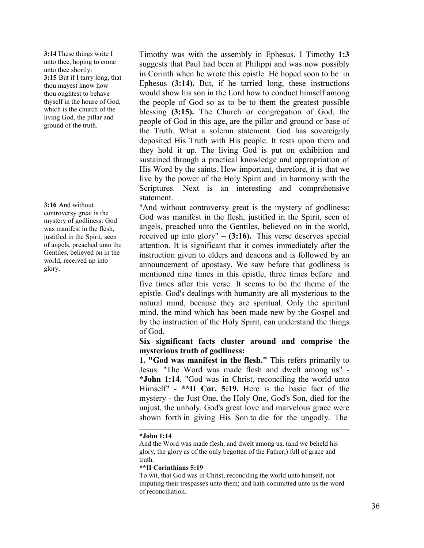**3:14**These things write I unto thee, hoping to come unto thee shortly: **3:15** But if I tarry long, that thou mayest know how thou oughtest to behave thyself in the house of God, which is the church of the living God, the pillar and ground of the truth.

# **3:16** And without

controversy great is the mystery of godliness: God was manifest in the flesh, justified in the Spirit, seen of angels, preached unto the Gentiles, believed on in the world, received up into glory.

Timothy was with the assembly in Ephesus. I Timothy **1:3** suggests that Paul had been at Philippi and was now possibly in Corinth when he wrote this epistle. He hoped soon to be in Ephesus **(3:14).** But, if he tarried long, these instructions would show his son in the Lord how to conduct himself among the people of God so as to be to them the greatest possible blessing **(3:15).** The Church or congregation of God, the people of God in this age, are the pillar and ground or base of the Truth. What a solemn statement. God has sovereignly deposited His Truth with His people. It rests upon them and they hold it up. The living God is put on exhibition and sustained through a practical knowledge and appropriation of His Word by the saints. How important, therefore, it is that we live by the power of the Holy Spirit and in harmony with the Scriptures. Next is an interesting and comprehensive statement.

"And without controversy great is the mystery of godliness: God was manifest in the flesh, justified in the Spirit, seen of angels, preached unto the Gentiles, believed on in the world, received up into glory" – **(3:16).** This verse deserves special attention. It is significant that it comes immediately after the instruction given to elders and deacons and is followed by an announcement of apostasy. We saw before that godliness is mentioned nine times in this epistle, three times before and five times after this verse. It seems to be the theme of the epistle. God's dealings with humanity are all mysterious to the natural mind, because they are spiritual. Only the spiritual mind, the mind which has been made new by the Gospel and by the instruction of the Holy Spirit, can understand the things of God.

**Six significant facts cluster around and comprise the mysterious truth of godliness:** 

**1. "God was manifest in the flesh."** This refers primarily to Jesus. "The Word was made flesh and dwelt among us" - **\*John 1:14**. "God was in Christ, reconciling the world unto Himself" - **\*\*II Cor. 5:19.** Here is the basic fact of the mystery - the Just One, the Holy One, God's Son, died for the unjust, the unholy. God's great love and marvelous grace were shown forth in giving His Son to die for the ungodly. The

# **\*John 1:14**

And the Word was made flesh, and dwelt among us, (and we beheld his glory, the glory as of the only begotten of the Father,) full of grace and truth.

# **\*\*II Corinthians 5:19**

To wit, that God was in Christ, reconciling the world unto himself, not imputing their trespasses unto them; and hath committed unto us the word of reconciliation.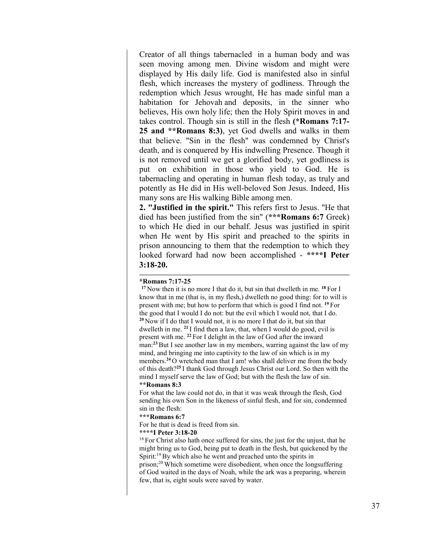Creator of all things tabernacled in a human body and was seen moving among men. Divine wisdom and might were displayed by His daily life. God is manifested also in sinful flesh, which increases the mystery of godliness. Through the redemption which Jesus wrought, He has made sinful man a habitation for Jehovah and deposits, in the sinner who believes, His own holy life; then the Holy Spirit moves in and takes control. Though sin is still in the flesh **(\*Romans 7:17- 25 and \*\*Romans 8:3)**, yet God dwells and walks in them that believe. "Sin in the flesh" was condemned by Christ's death, and is conquered by His indwelling Presence. Though it is not removed until we get a glorified body, yet godliness is put on exhibition in those who yield to God. He is tabernacling and operating in human flesh today, as truly and potently as He did in His well-beloved Son Jesus. Indeed, His many sons are His walking Bible among men.

**2. "Justified in the spirit."** This refers first to Jesus. "He that died has been justified from the sin" (**\*\*\*Romans 6:7** Greek) to which He died in our behalf. Jesus was justified in spirit when He went by His spirit and preached to the spirits in prison announcing to them that the redemption to which they looked forward had now been accomplished - **\*\*\*\*I Peter 3:18-20.**

### **\*Romans 7:17-25**

**<sup>17</sup>** Now then it is no more I that do it, but sin that dwelleth in me. **<sup>18</sup>** For I know that in me (that is, in my flesh,) dwelleth no good thing: for to will is present with me; but how to perform that which is good I find not. **<sup>19</sup>** For the good that I would I do not: but the evil which I would not, that I do. **<sup>20</sup>** Now if I do that I would not, it is no more I that do it, but sin that dwelleth in me. **<sup>21</sup>** I find then a law, that, when I would do good, evil is present with me. **<sup>22</sup>** For I delight in the law of God after the inward man:**<sup>23</sup>** But I see another law in my members, warring against the law of my mind, and bringing me into captivity to the law of sin which is in my members.**<sup>24</sup>** O wretched man that I am! who shall deliver me from the body of this death?**<sup>25</sup>** I thank God through Jesus Christ our Lord. So then with the mind I myself serve the law of God; but with the flesh the law of sin. **\*\*Romans 8:3**

For what the law could not do, in that it was weak through the flesh, God sending his own Son in the likeness of sinful flesh, and for sin, condemned sin in the flesh:

#### **\*\*\*Romans 6:7**

For he that is dead is freed from sin.

few, that is, eight souls were saved by water.

#### **\*\*\*\*I Peter 3:18-20**

 $18$  For Christ also hath once suffered for sins, the just for the unjust, that he might bring us to God, being put to death in the flesh, but quickened by the Spirit:<sup>19</sup> By which also he went and preached unto the spirits in prison;<sup>20</sup> Which sometime were disobedient, when once the longsuffering of God waited in the days of Noah, while the ark was a preparing, wherein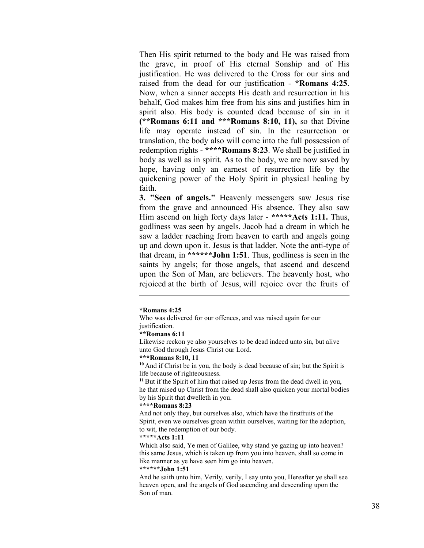Then His spirit returned to the body and He was raised from the grave, in proof of His eternal Sonship and of His justification. He was delivered to the Cross for our sins and raised from the dead for our justification - **\*Romans 4:25**. Now, when a sinner accepts His death and resurrection in his behalf, God makes him free from his sins and justifies him in spirit also. His body is counted dead because of sin in it **(\*\*Romans 6:11 and \*\*\*Romans 8:10, 11),** so that Divine life may operate instead of sin. In the resurrection or translation, the body also will come into the full possession of redemption rights - **\*\*\*\*Romans 8:23**. We shall be justified in body as well as in spirit. As to the body, we are now saved by hope, having only an earnest of resurrection life by the quickening power of the Holy Spirit in physical healing by faith.

**3. "Seen of angels."** Heavenly messengers saw Jesus rise from the grave and announced His absence. They also saw Him ascend on high forty days later - **\*\*\*\*\*Acts 1:11.** Thus, godliness was seen by angels. Jacob had a dream in which he saw a ladder reaching from heaven to earth and angels going up and down upon it. Jesus is that ladder. Note the anti-type of that dream, in **\*\*\*\*\*\*John 1:51**. Thus, godliness is seen in the saints by angels; for those angels, that ascend and descend upon the Son of Man, are believers. The heavenly host, who rejoiced at the birth of Jesus, will rejoice over the fruits of

#### **\*Romans 4:25**

Who was delivered for our offences, and was raised again for our justification.

#### **\*\*Romans 6:11**

Likewise reckon ye also yourselves to be dead indeed unto sin, but alive unto God through Jesus Christ our Lord.

### **\*\*\*Romans 8:10, 11**

**<sup>10</sup>** And if Christ be in you, the body is dead because of sin; but the Spirit is life because of righteousness.

**<sup>11</sup>** But if the Spirit of him that raised up Jesus from the dead dwell in you, he that raised up Christ from the dead shall also quicken your mortal bodies by his Spirit that dwelleth in you.

#### **\*\*\*\*Romans 8:23**

And not only they, but ourselves also, which have the firstfruits of the Spirit, even we ourselves groan within ourselves, waiting for the adoption, to wit, the redemption of our body.

#### **\*\*\*\*\*Acts 1:11**

Which also said, Ye men of Galilee, why stand ye gazing up into heaven? this same Jesus, which is taken up from you into heaven, shall so come in like manner as ye have seen him go into heaven.

#### **\*\*\*\*\*\*John 1:51**

And he saith unto him, Verily, verily, I say unto you, Hereafter ye shall see heaven open, and the angels of God ascending and descending upon the Son of man.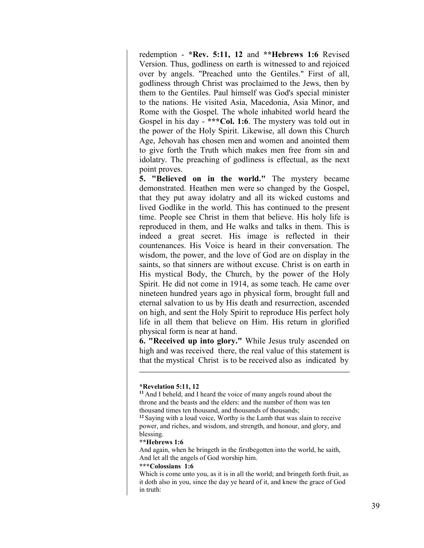redemption - **\*Rev. 5:11, 12** and **\*\*Hebrews 1:6** Revised Version. Thus, godliness on earth is witnessed to and rejoiced over by angels. "Preached unto the Gentiles." First of all, godliness through Christ was proclaimed to the Jews, then by them to the Gentiles. Paul himself was God's special minister to the nations. He visited Asia, Macedonia, Asia Minor, and Rome with the Gospel. The whole inhabited world heard the Gospel in his day - **\*\*\*Col. 1:6**. The mystery was told out in the power of the Holy Spirit. Likewise, all down this Church Age, Jehovah has chosen men and women and anointed them to give forth the Truth which makes men free from sin and idolatry. The preaching of godliness is effectual, as the next point proves.

**5. "Believed on in the world."** The mystery became demonstrated. Heathen men were so changed by the Gospel, that they put away idolatry and all its wicked customs and lived Godlike in the world. This has continued to the present time. People see Christ in them that believe. His holy life is reproduced in them, and He walks and talks in them. This is indeed a great secret. His image is reflected in their countenances. His Voice is heard in their conversation. The wisdom, the power, and the love of God are on display in the saints, so that sinners are without excuse. Christ is on earth in His mystical Body, the Church, by the power of the Holy Spirit. He did not come in 1914, as some teach. He came over nineteen hundred years ago in physical form, brought full and eternal salvation to us by His death and resurrection, ascended on high, and sent the Holy Spirit to reproduce His perfect holy life in all them that believe on Him. His return in glorified physical form is near at hand.

**6. "Received up into glory."** While Jesus truly ascended on high and was received there, the real value of this statement is that the mystical Christ is to be received also as indicated by

### **\*\*\*Colossians 1:6**

Which is come unto you, as it is in all the world; and bringeth forth fruit, as it doth also in you, since the day ye heard of it, and knew the grace of God in truth:

**<sup>\*</sup>Revelation 5:11, 12**

**<sup>11</sup>** And I beheld, and I heard the voice of many angels round about the throne and the beasts and the elders: and the number of them was ten thousand times ten thousand, and thousands of thousands;

**<sup>12</sup>** Saying with a loud voice, Worthy is the Lamb that was slain to receive power, and riches, and wisdom, and strength, and honour, and glory, and blessing.

**<sup>\*\*</sup>Hebrews 1:6**

And again, when he bringeth in the firstbegotten into the world, he saith, And let all the angels of God worship him.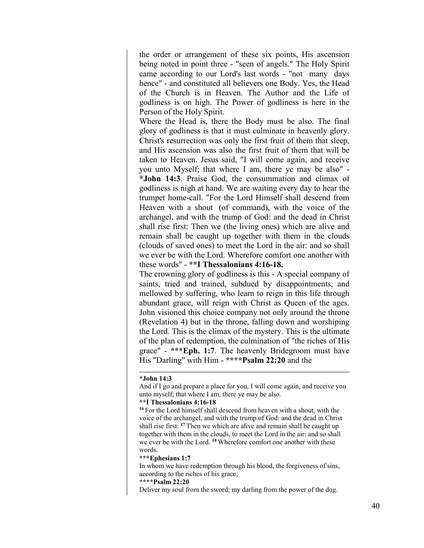the order or arrangement of these six points, His ascension being noted in point three - "seen of angels." The Holy Spirit came according to our Lord's last words - "not many days hence" - and constituted all believers one Body. Yes, the Head of the Church is in Heaven. The Author and the Life of godliness is on high. The Power of godliness is here in the Person of the Holy Spirit.

Where the Head is, there the Body must be also. The final glory of godliness is that it must culminate in heavenly glory. Christ's resurrection was only the first fruit of them that sleep, and His ascension was also the first fruit of them that will be taken to Heaven. Jesus said, "I will come again, and receive you unto Myself; that where I am, there ye may be also" - **\*John 14:3**. Praise God, the consummation and climax of godliness is nigh at hand. We are waiting every day to hear the trumpet home-call. "For the Lord Himself shall descend from Heaven with a shout (of command), with the voice of the archangel, and with the trump of God: and the dead in Christ shall rise first: Then we (the living ones) which are alive and remain shall be caught up together with them in the clouds (clouds of saved ones) to meet the Lord in the air: and so shall we ever be with the Lord. Wherefore comfort one another with these words" - **\*\*I Thessalonians 4:16-18.** 

The crowning glory of godliness is this - A special company of saints, tried and trained, subdued by disappointments, and mellowed by suffering, who learn to reign in this life through abundant grace, will reign with Christ as Queen of the ages. John visioned this choice company not only around the throne (Revelation 4) but in the throne, falling down and worshiping the Lord. This is the climax of the mystery. This is the ultimate of the plan of redemption, the culmination of "the riches of His grace" - **\*\*\*Eph. 1:7**. The heavenly Bridegroom must have His "Darling" with Him - **\*\*\*\*Psalm 22:20** and the

### **\*John 14:3**

### **\*\*I Thessalonians 4:16-18**

**<sup>16</sup>** For the Lord himself shall descend from heaven with a shout, with the voice of the archangel, and with the trump of God: and the dead in Christ shall rise first: **<sup>17</sup>** Then we which are alive and remain shall be caught up together with them in the clouds, to meet the Lord in the air: and so shall we ever be with the Lord. **<sup>18</sup>** Wherefore comfort one another with these words.

### **\*\*\*Ephesians 1:7**

In whom we have redemption through his blood, the forgiveness of sins, according to the riches of his grace;

### **\*\*\*\*Psalm 22:20**

Deliver my soul from the sword; my darling from the power of the dog.

And if I go and prepare a place for you, I will come again, and receive you unto myself; that where I am, there ye may be also.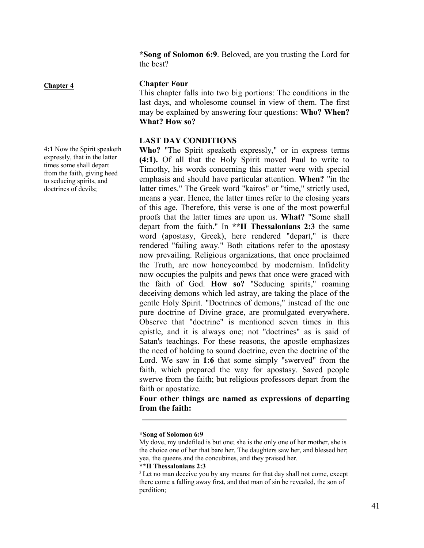**\*Song of Solomon 6:9**. Beloved, are you trusting the Lord for the best?

# **Chapter 4**

**4:1** Now the Spirit speaketh expressly, that in the latter times some shall depart from the faith, giving heed to seducing spirits, and doctrines of devils;

# **Chapter Four**

This chapter falls into two big portions: The conditions in the last days, and wholesome counsel in view of them. The first may be explained by answering four questions: **Who? When? What? How so?** 

# **LAST DAY CONDITIONS**

**Who?** "The Spirit speaketh expressly," or in express terms **(4:1).** Of all that the Holy Spirit moved Paul to write to Timothy, his words concerning this matter were with special emphasis and should have particular attention. **When?** "in the latter times." The Greek word "kairos" or "time," strictly used, means a year. Hence, the latter times refer to the closing years of this age. Therefore, this verse is one of the most powerful proofs that the latter times are upon us. **What?** "Some shall depart from the faith." In **\*\*II Thessalonians 2:3** the same word (apostasy, Greek), here rendered "depart," is there rendered "failing away." Both citations refer to the apostasy now prevailing. Religious organizations, that once proclaimed the Truth, are now honeycombed by modernism. Infidelity now occupies the pulpits and pews that once were graced with the faith of God. **How so?** "Seducing spirits," roaming deceiving demons which led astray, are taking the place of the gentle Holy Spirit. "Doctrines of demons," instead of the one pure doctrine of Divine grace, are promulgated everywhere. Observe that "doctrine" is mentioned seven times in this epistle, and it is always one; not "doctrines" as is said of Satan's teachings. For these reasons, the apostle emphasizes the need of holding to sound doctrine, even the doctrine of the Lord. We saw in **1:6** that some simply "swerved" from the faith, which prepared the way for apostasy. Saved people swerve from the faith; but religious professors depart from the faith or apostatize.

**Four other things are named as expressions of departing from the faith:**

# **\*\*II Thessalonians 2:3**

 $3$  Let no man deceive you by any means: for that day shall not come, except there come a falling away first, and that man of sin be revealed, the son of perdition;

**<sup>\*</sup>Song of Solomon 6:9**

My dove, my undefiled is but one; she is the only one of her mother, she is the choice one of her that bare her. The daughters saw her, and blessed her; yea, the queens and the concubines, and they praised her.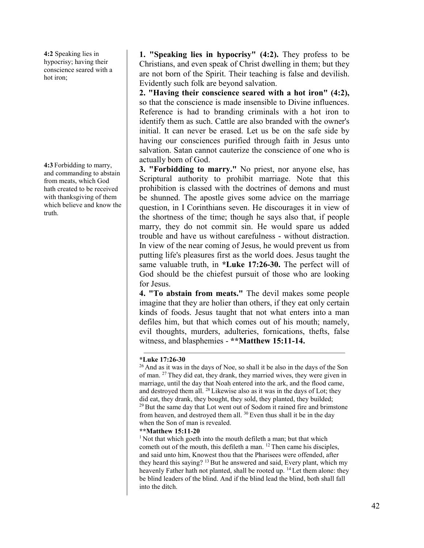**4:2** Speaking lies in hypocrisy; having their conscience seared with a hot iron;

**4:3** Forbidding to marry, and commanding to abstain from meats, which God hath created to be received with thanksgiving of them which believe and know the truth.

**1. "Speaking lies in hypocrisy" (4:2).** They profess to be Christians, and even speak of Christ dwelling in them; but they are not born of the Spirit. Their teaching is false and devilish. Evidently such folk are beyond salvation.

**2. "Having their conscience seared with a hot iron" (4:2),** so that the conscience is made insensible to Divine influences. Reference is had to branding criminals with a hot iron to identify them as such. Cattle are also branded with the owner's initial. It can never be erased. Let us be on the safe side by having our consciences purified through faith in Jesus unto salvation. Satan cannot cauterize the conscience of one who is actually born of God.

**3. "Forbidding to marry."** No priest, nor anyone else, has Scriptural authority to prohibit marriage. Note that this prohibition is classed with the doctrines of demons and must be shunned. The apostle gives some advice on the marriage question, in I Corinthians seven. He discourages it in view of the shortness of the time; though he says also that, if people marry, they do not commit sin. He would spare us added trouble and have us without carefulness - without distraction. In view of the near coming of Jesus, he would prevent us from putting life's pleasures first as the world does. Jesus taught the same valuable truth, in **\*Luke 17:26-30.** The perfect will of God should be the chiefest pursuit of those who are looking for Jesus.

**4. "To abstain from meats."** The devil makes some people imagine that they are holier than others, if they eat only certain kinds of foods. Jesus taught that not what enters into a man defiles him, but that which comes out of his mouth; namely, evil thoughts, murders, adulteries, fornications, thefts, false witness, and blasphemies - **\*\*Matthew 15:11-14.**

# **\*Luke 17:26-30**

 $26$  And as it was in the days of Noe, so shall it be also in the days of the Son of man. <sup>27</sup> They did eat, they drank, they married wives, they were given in marriage, until the day that Noah entered into the ark, and the flood came, and destroyed them all. <sup>28</sup> Likewise also as it was in the days of Lot; they did eat, they drank, they bought, they sold, they planted, they builded; <sup>29</sup> But the same day that Lot went out of Sodom it rained fire and brimstone from heaven, and destroyed them all. <sup>30</sup> Even thus shall it be in the day when the Son of man is revealed.

### **\*\*Matthew 15:11-20**

<sup>1</sup> Not that which goeth into the mouth defileth a man; but that which cometh out of the mouth, this defileth a man. <sup>12</sup> Then came his disciples, and said unto him, Knowest thou that the Pharisees were offended, after they heard this saying? <sup>13</sup> But he answered and said, Every plant, which my heavenly Father hath not planted, shall be rooted up. <sup>14</sup> Let them alone: they be blind leaders of the blind. And if the blind lead the blind, both shall fall into the ditch.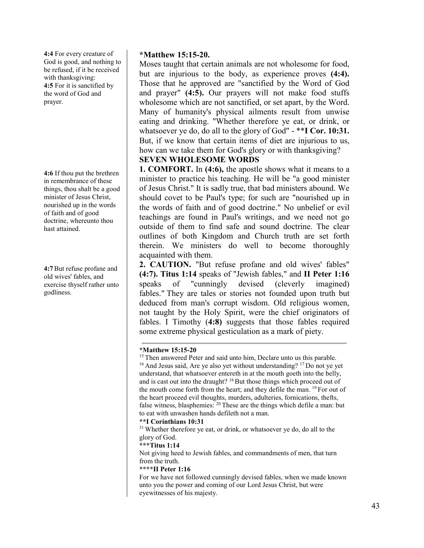**4:4** For every creature of God is good, and nothing to be refused, if it be received with thanksgiving: **4:5** For it is sanctified by the word of God and prayer.

**4:6** If thou put the brethren in remembrance of these things, thou shalt be a good minister of Jesus Christ, nourished up in the words of faith and of good doctrine, whereunto thou hast attained.

**4:7**But refuse profane and old wives' fables, and exercise thyself rather unto godliness.

# **\*Matthew 15:15-20.**

Moses taught that certain animals are not wholesome for food, but are injurious to the body, as experience proves **(4:4).** Those that he approved are "sanctified by the Word of God and prayer" **(4:5).** Our prayers will not make food stuffs wholesome which are not sanctified, or set apart, by the Word. Many of humanity's physical ailments result from unwise eating and drinking. "Whether therefore ye eat, or drink, or whatsoever ye do, do all to the glory of God" - \*\***I Cor. 10:31.** But, if we know that certain items of diet are injurious to us, how can we take them for God's glory or with thanksgiving?

# **SEVEN WHOLESOME WORDS**

**1. COMFORT.** In **(4:6),** the apostle shows what it means to a minister to practice his teaching. He will be "a good minister of Jesus Christ." It is sadly true, that bad ministers abound. We should covet to be Paul's type; for such are "nourished up in the words of faith and of good doctrine." No unbelief or evil teachings are found in Paul's writings, and we need not go outside of them to find safe and sound doctrine. The clear outlines of both Kingdom and Church truth are set forth therein. We ministers do well to become thoroughly acquainted with them.

**2. CAUTION.** "But refuse profane and old wives' fables" **(4:7). Titus 1:14** speaks of "Jewish fables," and **II Peter 1:16** speaks of "cunningly devised (cleverly imagined) fables." They are tales or stories not founded upon truth but deduced from man's corrupt wisdom. Old religious women, not taught by the Holy Spirit, were the chief originators of fables. I Timothy (**4:8)** suggests that those fables required some extreme physical gesticulation as a mark of piety.

# **\*Matthew 15:15-20**

<sup>15</sup> Then answered Peter and said unto him, Declare unto us this parable. <sup>16</sup> And Jesus said, Are ye also yet without understanding? <sup>17</sup> Do not ye yet understand, that whatsoever entereth in at the mouth goeth into the belly, and is cast out into the draught? <sup>18</sup> But those things which proceed out of the mouth come forth from the heart; and they defile the man. <sup>19</sup> For out of the heart proceed evil thoughts, murders, adulteries, fornications, thefts, false witness, blasphemies: <sup>20</sup> These are the things which defile a man: but to eat with unwashen hands defileth not a man.

# **\*\*I Corinthians 10:31**

<sup>31</sup> Whether therefore ye eat, or drink, or whatsoever ye do, do all to the glory of God.

# **\*\*\*Titus 1:14**

Not giving heed to Jewish fables, and commandments of men, that turn from the truth.

# **\*\*\*\*II Peter 1:16**

For we have not followed cunningly devised fables, when we made known unto you the power and coming of our Lord Jesus Christ, but were eyewitnesses of his majesty.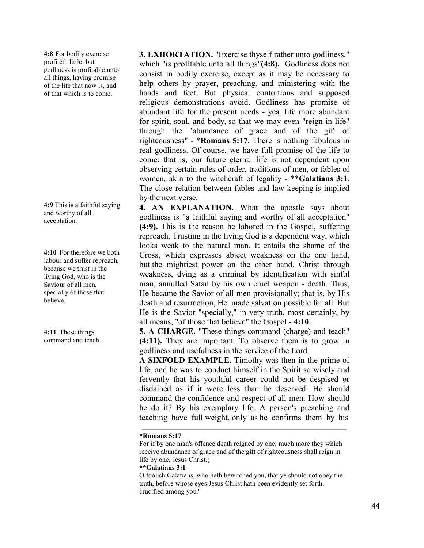**4:8** For bodily exercise profiteth little: but godliness is profitable unto all things, having promise of the life that now is, and of that which is to come.

**4:9** This is a faithful saying and worthy of all acceptation.

**4:10** For therefore we both labour and suffer reproach, because we trust in the living God, who is the Saviour of all men, specially of those that believe.

**4:11** These things command and teach. **3. EXHORTATION.** "Exercise thyself rather unto godliness," which "is profitable unto all things"**(4:8).** Godliness does not consist in bodily exercise, except as it may be necessary to help others by prayer, preaching, and ministering with the hands and feet. But physical contortions and supposed religious demonstrations avoid. Godliness has promise of abundant life for the present needs - yea, life more abundant for spirit, soul, and body, so that we may even "reign in life" through the "abundance of grace and of the gift of righteousness" - \***Romans 5:17.** There is nothing fabulous in real godliness. Of course, we have full promise of the life to come; that is, our future eternal life is not dependent upon observing certain rules of order, traditions of men, or fables of women, akin to the witchcraft of legality - \*\***Galatians 3:1**. The close relation between fables and law-keeping is implied by the next verse.

**4. AN EXPLANATION.** What the apostle says about godliness is "a faithful saying and worthy of all acceptation" **(4:9).** This is the reason he labored in the Gospel, suffering reproach. Trusting in the living God is a dependent way, which looks weak to the natural man. It entails the shame of the Cross, which expresses abject weakness on the one hand, but the mightiest power on the other hand. Christ through weakness, dying as a criminal by identification with sinful man, annulled Satan by his own cruel weapon - death. Thus, He became the Savior of all men provisionally; that is, by His death and resurrection, He made salvation possible for all. But He is the Savior "specially," in very truth, most certainly, by all means, "of those that believe" the Gospel - **4:10**.

**5. A CHARGE.** "These things command (charge) and teach" **(4:11).** They are important. To observe them is to grow in godliness and usefulness in the service of the Lord.

**A SIXFOLD EXAMPLE.** Timothy was then in the prime of life, and he was to conduct himself in the Spirit so wisely and fervently that his youthful career could not be despised or disdained as if it were less than he deserved. He should command the confidence and respect of all men. How should he do it? By his exemplary life. A person's preaching and teaching have full weight, only as he confirms them by his

# **\*Romans 5:17**

For if by one man's offence death reigned by one; much more they which receive abundance of grace and of the gift of righteousness shall reign in life by one, Jesus Christ.)

# **\*\*Galatians 3:1**

O foolish Galatians, who hath bewitched you, that ye should not obey the truth, before whose eyes Jesus Christ hath been evidently set forth, crucified among you?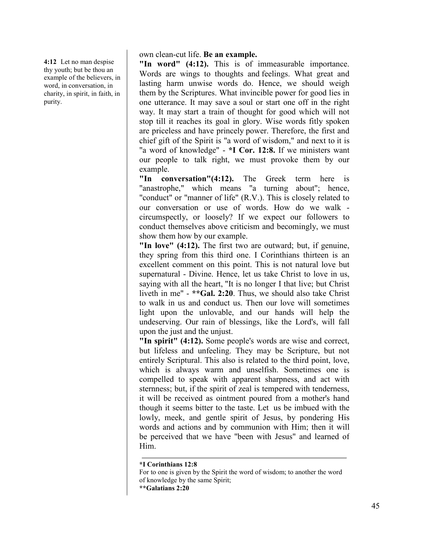**4:12** Let no man despise thy youth; but be thou an example of the believers, in word, in conversation, in charity, in spirit, in faith, in purity.

own clean-cut life. **Be an example.**

**"In word" (4:12).** This is of immeasurable importance. Words are wings to thoughts and feelings. What great and lasting harm unwise words do. Hence, we should weigh them by the Scriptures. What invincible power for good lies in one utterance. It may save a soul or start one off in the right way. It may start a train of thought for good which will not stop till it reaches its goal in glory. Wise words fitly spoken are priceless and have princely power. Therefore, the first and chief gift of the Spirit is "a word of wisdom," and next to it is "a word of knowledge" - **\*I Cor. 12:8.** If we ministers want our people to talk right, we must provoke them by our example.

**"In conversation"(4:12).** The Greek term here is "anastrophe," which means "a turning about"; hence, "conduct" or "manner of life" (R.V.). This is closely related to our conversation or use of words. How do we walk circumspectly, or loosely? If we expect our followers to conduct themselves above criticism and becomingly, we must show them how by our example.

**"In love" (4:12).** The first two are outward; but, if genuine, they spring from this third one. I Corinthians thirteen is an excellent comment on this point. This is not natural love but supernatural - Divine. Hence, let us take Christ to love in us, saying with all the heart, "It is no longer I that live; but Christ liveth in me" - **\*\*Gal. 2:20**. Thus, we should also take Christ to walk in us and conduct us. Then our love will sometimes light upon the unlovable, and our hands will help the undeserving. Our rain of blessings, like the Lord's, will fall upon the just and the unjust.

**"In spirit" (4:12).** Some people's words are wise and correct, but lifeless and unfeeling. They may be Scripture, but not entirely Scriptural. This also is related to the third point, love, which is always warm and unselfish. Sometimes one is compelled to speak with apparent sharpness, and act with sternness; but, if the spirit of zeal is tempered with tenderness, it will be received as ointment poured from a mother's hand though it seems bitter to the taste. Let us be imbued with the lowly, meek, and gentle spirit of Jesus, by pondering His words and actions and by communion with Him; then it will be perceived that we have "been with Jesus" and learned of Him.

**\*I Corinthians 12:8**

For to one is given by the Spirit the word of wisdom; to another the word of knowledge by the same Spirit;

**<sup>\*\*</sup>Galatians 2:20**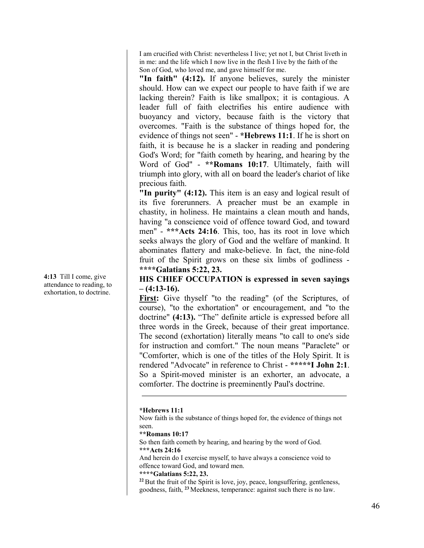I am crucified with Christ: nevertheless I live; yet not I, but Christ liveth in in me: and the life which I now live in the flesh I live by the faith of the Son of God, who loved me, and gave himself for me.

**"In faith" (4:12).** If anyone believes, surely the minister should. How can we expect our people to have faith if we are lacking therein? Faith is like smallpox; it is contagious. A leader full of faith electrifies his entire audience with buoyancy and victory, because faith is the victory that overcomes. "Faith is the substance of things hoped for, the evidence of things not seen" - **\*Hebrews 11:1**. If he is short on faith, it is because he is a slacker in reading and pondering God's Word; for "faith cometh by hearing, and hearing by the Word of God" - **\*\*Romans 10:17**. Ultimately, faith will triumph into glory, with all on board the leader's chariot of like precious faith.

**"In purity" (4:12).** This item is an easy and logical result of its five forerunners. A preacher must be an example in chastity, in holiness. He maintains a clean mouth and hands, having "a conscience void of offence toward God, and toward men" - **\*\*\*Acts 24:16**. This, too, has its root in love which seeks always the glory of God and the welfare of mankind. It abominates flattery and make-believe. In fact, the nine-fold fruit of the Spirit grows on these six limbs of godliness - **\*\*\*\*Galatians 5:22, 23.**

# **HIS CHIEF OCCUPATION is expressed in seven sayings – (4:13-16).**

**First:** Give thyself "to the reading" (of the Scriptures, of course), "to the exhortation" or encouragement, and "to the doctrine" **(4:13).** "The" definite article is expressed before all three words in the Greek, because of their great importance. The second (exhortation) literally means "to call to one's side for instruction and comfort." The noun means "Paraclete" or "Comforter, which is one of the titles of the Holy Spirit. It is rendered "Advocate" in reference to Christ - **\*\*\*\*\*I John 2:1**. So a Spirit-moved minister is an exhorter, an advocate, a comforter. The doctrine is preeminently Paul's doctrine.

# **\*Hebrews 11:1**

Now faith is the substance of things hoped for, the evidence of things not seen.

**\*\*Romans 10:17**

So then faith cometh by hearing, and hearing by the word of God. **\*\*\*Acts 24:16**

And herein do I exercise myself, to have always a conscience void to offence toward God, and toward men.

# **\*\*\*\*Galatians 5:22, 23.**

<sup>22</sup> But the fruit of the Spirit is love, joy, peace, longsuffering, gentleness, goodness, faith, **<sup>23</sup>** Meekness, temperance: against such there is no law.

**4:13** Till I come, give attendance to reading, to exhortation, to doctrine.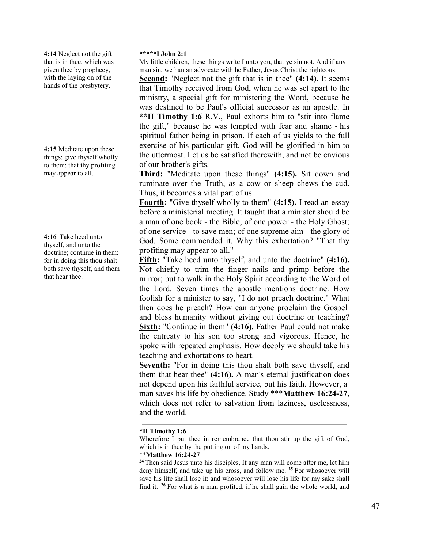**4:14** Neglect not the gift that is in thee, which was given thee by prophecy, with the laying on of the hands of the presbytery.

**4:15** Meditate upon these things; give thyself wholly to them; that thy profiting may appear to all.

**4:16** Take heed unto thyself, and unto the doctrine; continue in them: for in doing this thou shalt both save thyself, and them that hear thee.

# **\*\*\*\*\*I John 2:1**

My little children, these things write I unto you, that ye sin not. And if any man sin, we han an advocate with he Father, Jesus Christ the righteous:

**Second:** "Neglect not the gift that is in thee" **(4:14).** It seems that Timothy received from God, when he was set apart to the ministry, a special gift for ministering the Word, because he was destined to be Paul's official successor as an apostle. In **\*\*II Timothy 1:6** R.V., Paul exhorts him to "stir into flame the gift," because he was tempted with fear and shame - his spiritual father being in prison. If each of us yields to the full exercise of his particular gift, God will be glorified in him to the uttermost. Let us be satisfied therewith, and not be envious of our brother's gifts.

**Third:** "Meditate upon these things" **(4:15).** Sit down and ruminate over the Truth, as a cow or sheep chews the cud. Thus, it becomes a vital part of us.

**Fourth:** "Give thyself wholly to them" **(4:15).** I read an essay before a ministerial meeting. It taught that a minister should be a man of one book - the Bible; of one power - the Holy Ghost; of one service - to save men; of one supreme aim - the glory of God. Some commended it. Why this exhortation? "That thy profiting may appear to all."

**Fifth:** "Take heed unto thyself, and unto the doctrine" **(4:16).** Not chiefly to trim the finger nails and primp before the mirror; but to walk in the Holy Spirit according to the Word of the Lord. Seven times the apostle mentions doctrine. How foolish for a minister to say, "I do not preach doctrine." What then does he preach? How can anyone proclaim the Gospel and bless humanity without giving out doctrine or teaching? **Sixth:** "Continue in them" **(4:16).** Father Paul could not make the entreaty to his son too strong and vigorous. Hence, he spoke with repeated emphasis. How deeply we should take his teaching and exhortations to heart.

**Seventh:** "For in doing this thou shalt both save thyself, and them that hear thee" **(4:16).** A man's eternal justification does not depend upon his faithful service, but his faith. However, a man saves his life by obedience. Study \*\*\***Matthew 16:24-27,** which does not refer to salvation from laziness, uselessness, and the world.

# **\*II Timothy 1:6**

Wherefore I put thee in remembrance that thou stir up the gift of God, which is in thee by the putting on of my hands.

# \*\***Matthew 16:24-27**

**<sup>24</sup>**Then said Jesus unto his disciples, If any man will come after me, let him deny himself, and take up his cross, and follow me. **<sup>25</sup>**For whosoever will save his life shall lose it: and whosoever will lose his life for my sake shall find it. **<sup>26</sup>**For what is a man profited, if he shall gain the whole world, and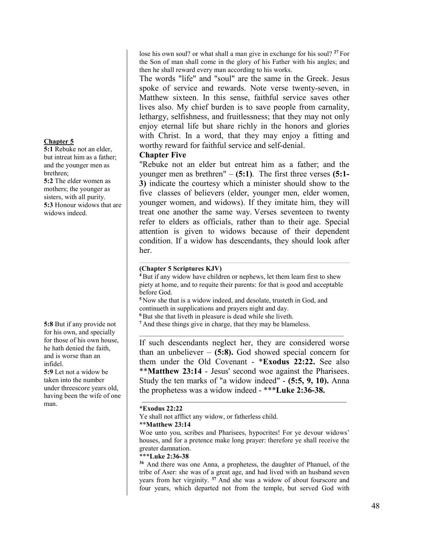# **Chapter 5**

**5:1** Rebuke not an elder, but intreat him as a father; and the younger men as brethren; **5:2** The elder women as mothers; the younger as sisters, with all purity. **5:3** Honour widows that are widows indeed.

**5:8** But if any provide not for his own, and specially for those of his own house, he hath denied the faith, and is worse than an infidel.

**5:9** Let not a widow be taken into the number under threescore years old, having been the wife of one man.

lose his own soul? or what shall a man give in exchange for his soul? **<sup>27</sup>**For the Son of man shall come in the glory of his Father with his angles; and then he shall reward every man according to his works.

The words "life" and "soul" are the same in the Greek. Jesus spoke of service and rewards. Note verse twenty-seven, in Matthew sixteen. In this sense, faithful service saves other lives also. My chief burden is to save people from carnality, lethargy, selfishness, and fruitlessness; that they may not only enjoy eternal life but share richly in the honors and glories with Christ. In a word, that they may enjoy a fitting and worthy reward for faithful service and self-denial.

# **Chapter Five**

"Rebuke not an elder but entreat him as a father; and the younger men as brethren" – **(5:1)**. The first three verses **(5:1- 3)** indicate the courtesy which a minister should show to the five classes of believers (elder, younger men, elder women, younger women, and widows). If they imitate him, they will treat one another the same way. Verses seventeen to twenty refer to elders as officials, rather than to their age. Special attention is given to widows because of their dependent condition. If a widow has descendants, they should look after her.

# **(Chapter 5 Scriptures KJV)**

**<sup>4</sup>** But if any widow have children or nephews, let them learn first to shew piety at home, and to requite their parents: for that is good and acceptable before God.

**<sup>5</sup>** Now she that is a widow indeed, and desolate, trusteth in God, and continueth in supplications and prayers night and day.

**<sup>6</sup>** But she that liveth in pleasure is dead while she liveth.

**<sup>7</sup>** And these things give in charge, that they may be blameless.

If such descendants neglect her, they are considered worse than an unbeliever – **(5:8).** God showed special concern for them under the Old Covenant - \***Exodus 22:22.** See also \*\***Matthew 23:14** - Jesus' second woe against the Pharisees. Study the ten marks of "a widow indeed" - **(5:5, 9, 10).** Anna the prophetess was a widow indeed - \*\*\***Luke 2:36-38.**

# \***Exodus 22:22**

Ye shall not afflict any widow, or fatherless child.

# \*\***Matthew 23:14**

Woe unto you, scribes and Pharisees, hypocrites! For ye devour widows' houses, and for a pretence make long prayer: therefore ye shall receive the greater damnation.

# \*\*\***Luke 2:36-38**

**<sup>36</sup>**And there was one Anna, a prophetess, the daughter of Phanuel, of the tribe of Aser: she was of a great age, and had lived with an husband seven years from her virginity. **<sup>37</sup>**And she was a widow of about fourscore and four years, which departed not from the temple, but served God with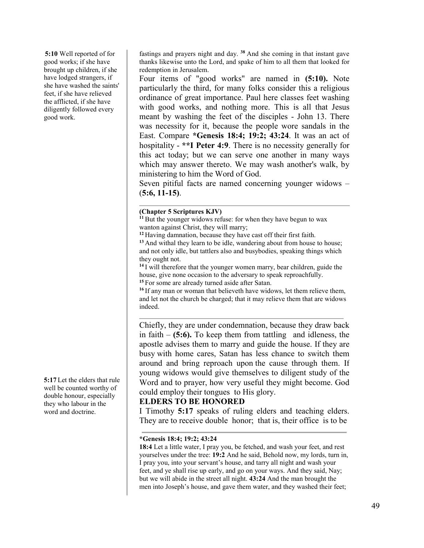**5:10** Well reported of for good works; if she have brought up children, if she have lodged strangers, if she have washed the saints' feet, if she have relieved the afflicted, if she have diligently followed every good work.

**5:17** Let the elders that rule well be counted worthy of double honour, especially they who labour in the word and doctrine.

fastings and prayers night and day. **<sup>38</sup>**And she coming in that instant gave thanks likewise unto the Lord, and spake of him to all them that looked for redemption in Jerusalem.

Four items of "good works" are named in **(5:10).** Note particularly the third, for many folks consider this a religious ordinance of great importance. Paul here classes feet washing with good works, and nothing more. This is all that Jesus meant by washing the feet of the disciples - John 13. There was necessity for it, because the people wore sandals in the East. Compare **\*Genesis 18:4; 19:2; 43:24**. It was an act of hospitality - **\*\*I Peter 4:9**. There is no necessity generally for this act today; but we can serve one another in many ways which may answer thereto. We may wash another's walk, by ministering to him the Word of God.

Seven pitiful facts are named concerning younger widows – (**5:6, 11-15)**.

# **(Chapter 5 Scriptures KJV)**

**<sup>11</sup>**But the younger widows refuse: for when they have begun to wax wanton against Christ, they will marry;

**<sup>12</sup>** Having damnation, because they have cast off their first faith.

<sup>13</sup> And withal they learn to be idle, wandering about from house to house; and not only idle, but tattlers also and busybodies, speaking things which they ought not.

**<sup>14</sup>** I will therefore that the younger women marry, bear children, guide the house, give none occasion to the adversary to speak reproachfully.

**<sup>15</sup>** For some are already turned aside after Satan.

<sup>16</sup> If any man or woman that believeth have widows, let them relieve them, and let not the church be charged; that it may relieve them that are widows indeed.

Chiefly, they are under condemnation, because they draw back in faith – **(5:6).** To keep them from tattling and idleness, the apostle advises them to marry and guide the house. If they are busy with home cares, Satan has less chance to switch them around and bring reproach upon the cause through them. If young widows would give themselves to diligent study of the Word and to prayer, how very useful they might become. God could employ their tongues to His glory.

# **ELDERS TO BE HONORED**

I Timothy **5:17** speaks of ruling elders and teaching elders. They are to receive double honor; that is, their office is to be

# **\*Genesis 18:4; 19:2; 43:24**

**18:4** Let a little water, I pray you, be fetched, and wash your feet, and rest yourselves under the tree: **19:2** And he said, Behold now, my lords, turn in, I pray you, into your servant's house, and tarry all night and wash your feet, and ye shall rise up early, and go on your ways. And they said, Nay; but we will abide in the street all night. **43:24** And the man brought the men into Joseph's house, and gave them water, and they washed their feet;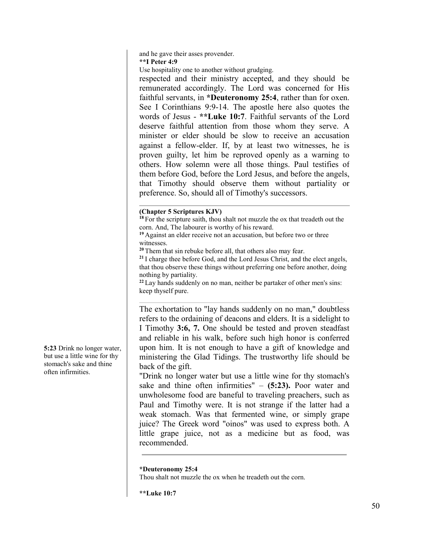and he gave their asses provender.

**\*\*I Peter 4:9**

Use hospitality one to another without grudging.

respected and their ministry accepted, and they should be remunerated accordingly. The Lord was concerned for His faithful servants, in **\*Deuteronomy 25:4**, rather than for oxen. See I Corinthians 9:9-14. The apostle here also quotes the words of Jesus - **\*\*Luke 10:7**. Faithful servants of the Lord deserve faithful attention from those whom they serve. A minister or elder should be slow to receive an accusation against a fellow-elder. If, by at least two witnesses, he is proven guilty, let him be reproved openly as a warning to others. How solemn were all those things. Paul testifies of them before God, before the Lord Jesus, and before the angels, that Timothy should observe them without partiality or preference. So, should all of Timothy's successors.

# **(Chapter 5 Scriptures KJV)**

**<sup>18</sup>** For the scripture saith, thou shalt not muzzle the ox that treadeth out the corn. And, The labourer is worthy of his reward.

**<sup>19</sup>** Against an elder receive not an accusation, but before two or three witnesses.

**<sup>20</sup>** Them that sin rebuke before all, that others also may fear.

**<sup>21</sup>** I charge thee before God, and the Lord Jesus Christ, and the elect angels, that thou observe these things without preferring one before another, doing nothing by partiality.

**<sup>22</sup>** Lay hands suddenly on no man, neither be partaker of other men's sins: keep thyself pure.

The exhortation to "lay hands suddenly on no man," doubtless refers to the ordaining of deacons and elders. It is a sidelight to I Timothy **3:6, 7.** One should be tested and proven steadfast and reliable in his walk, before such high honor is conferred upon him. It is not enough to have a gift of knowledge and ministering the Glad Tidings. The trustworthy life should be back of the gift.

"Drink no longer water but use a little wine for thy stomach's sake and thine often infirmities" – **(5:23).** Poor water and unwholesome food are baneful to traveling preachers, such as Paul and Timothy were. It is not strange if the latter had a weak stomach. Was that fermented wine, or simply grape juice? The Greek word "oinos" was used to express both. A little grape juice, not as a medicine but as food, was recommended.

**\*Deuteronomy 25:4**

Thou shalt not muzzle the ox when he treadeth out the corn.

**\*\*Luke 10:7**

**5:23** Drink no longer water, but use a little wine for thy stomach's sake and thine often infirmities.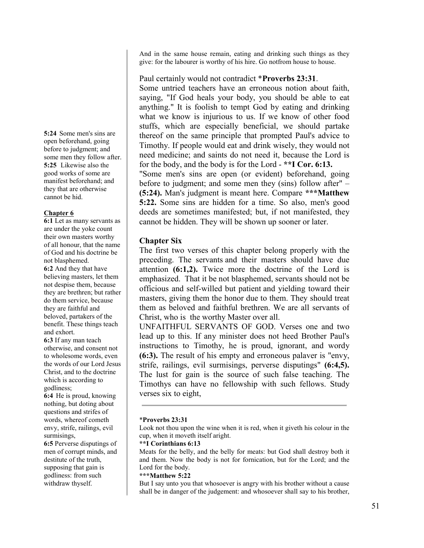And in the same house remain, eating and drinking such things as they give: for the labourer is worthy of his hire. Go notfrom house to house.

# Paul certainly would not contradict \***Proverbs 23:31**.

Some untried teachers have an erroneous notion about faith, saying, "If God heals your body, you should be able to eat anything." It is foolish to tempt God by eating and drinking what we know is injurious to us. If we know of other food stuffs, which are especially beneficial, we should partake thereof on the same principle that prompted Paul's advice to Timothy. If people would eat and drink wisely, they would not need medicine; and saints do not need it, because the Lord is for the body, and the body is for the Lord - **\*\*I Cor. 6:13.** "Some men's sins are open (or evident) beforehand, going before to judgment; and some men they (sins) follow after" – **(5:24).** Man's judgment is meant here. Compare **\*\*\*Matthew 5:22.** Some sins are hidden for a time. So also, men's good deeds are sometimes manifested; but, if not manifested, they cannot be hidden. They will be shown up sooner or later.

# **Chapter Six**

The first two verses of this chapter belong properly with the preceding. The servants and their masters should have due attention **(6:1,2).** Twice more the doctrine of the Lord is emphasized. That it be not blasphemed, servants should not be officious and self-willed but patient and yielding toward their masters, giving them the honor due to them. They should treat them as beloved and faithful brethren. We are all servants of Christ, who is the worthy Master over all.

UNFAITHFUL SERVANTS OF GOD. Verses one and two lead up to this. If any minister does not heed Brother Paul's instructions to Timothy, he is proud, ignorant, and wordy **(6:3).** The result of his empty and erroneous palaver is "envy, strife, railings, evil surmisings, perverse disputings" **(6:4,5).** The lust for gain is the source of such false teaching. The Timothys can have no fellowship with such fellows. Study verses six to eight,

# \***Proverbs 23:31**

Look not thou upon the wine when it is red, when it giveth his colour in the cup, when it moveth itself aright.

# **\*\*I Corinthians 6:13**

Meats for the belly, and the belly for meats: but God shall destroy both it and them. Now the body is not for fornication, but for the Lord; and the Lord for the body.

# **\*\*\*Matthew 5:22**

But I say unto you that whosoever is angry with his brother without a cause shall be in danger of the judgement: and whosoever shall say to his brother,

**5:24** Some men's sins are open beforehand, going before to judgment; and some men they follow after. **5:25** Likewise also the good works of some are manifest beforehand; and they that are otherwise cannot be hid.

# **Chapter 6**

**6:1** Let as many servants as are under the yoke count their own masters worthy of all honour, that the name of God and his doctrine be not blasphemed. **6:2** And they that have believing masters, let them not despise them, because they are brethren; but rather do them service, because they are faithful and beloved, partakers of the benefit. These things teach and exhort.

**6:3** If any man teach otherwise, and consent not to wholesome words, even the words of our Lord Jesus Christ, and to the doctrine which is according to godliness;

**6:4** He is proud, knowing nothing, but doting about questions and strifes of words, whereof cometh envy, strife, railings, evil surmisings,

**6:5** Perverse disputings of men of corrupt minds, and destitute of the truth, supposing that gain is godliness: from such withdraw thyself.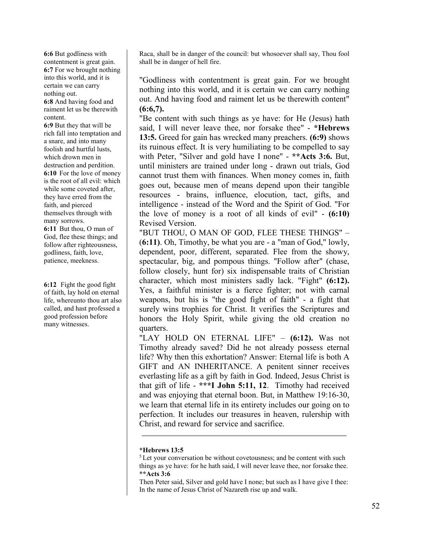**6:6** But godliness with contentment is great gain. **6:7** For we brought nothing into this world, and it is certain we can carry nothing out.

**6:8** And having food and raiment let us be therewith content.

**6:9** But they that will be rich fall into temptation and a snare, and into many foolish and hurtful lusts, which drown men in destruction and perdition. **6:10** For the love of money is the root of all evil: which while some coveted after, they have erred from the faith, and pierced themselves through with many sorrows. **6:11** But thou, O man of God, flee these things; and follow after righteousness, godliness, faith, love, patience, meekness.

**6:12** Fight the good fight of faith, lay hold on eternal life, whereunto thou art also called, and hast professed a good profession before many witnesses.

Raca, shall be in danger of the council: but whosoever shall say, Thou fool shall be in danger of hell fire.

"Godliness with contentment is great gain. For we brought nothing into this world, and it is certain we can carry nothing out. And having food and raiment let us be therewith content" **(6:6,7).**

"Be content with such things as ye have: for He (Jesus) hath said, I will never leave thee, nor forsake thee" - **\*Hebrews 13:5.** Greed for gain has wrecked many preachers. **(6:9)** shows its ruinous effect. It is very humiliating to be compelled to say with Peter, "Silver and gold have I none" - **\*\*Acts 3:6.** But, until ministers are trained under long - drawn out trials, God cannot trust them with finances. When money comes in, faith goes out, because men of means depend upon their tangible resources - brains, influence, elocution, tact, gifts, and intelligence - instead of the Word and the Spirit of God. "For the love of money is a root of all kinds of evil" - **(6:10)** Revised Version.

"BUT THOU, O MAN OF GOD, FLEE THESE THINGS" – (**6:11)**. Oh, Timothy, be what you are - a "man of God," lowly, dependent, poor, different, separated. Flee from the showy, spectacular, big, and pompous things. "Follow after" (chase, follow closely, hunt for) six indispensable traits of Christian character, which most ministers sadly lack. "Fight" **(6:12).** Yes, a faithful minister is a fierce fighter; not with carnal weapons, but his is "the good fight of faith" - a fight that surely wins trophies for Christ. It verifies the Scriptures and honors the Holy Spirit, while giving the old creation no quarters.

"LAY HOLD ON ETERNAL LIFE" – **(6:12).** Was not Timothy already saved? Did he not already possess eternal life? Why then this exhortation? Answer: Eternal life is both A GIFT and AN INHERITANCE. A penitent sinner receives everlasting life as a gift by faith in God. Indeed, Jesus Christ is that gift of life - **\*\*\*I John 5:11, 12**. Timothy had received and was enjoying that eternal boon. But, in Matthew 19:16-30, we learn that eternal life in its entirety includes our going on to perfection. It includes our treasures in heaven, rulership with Christ, and reward for service and sacrifice.

# **\*Hebrews 13:5**

<sup>5</sup> Let your conversation be without covetousness; and be content with such things as ye have: for he hath said, I will never leave thee, nor forsake thee. **\*\*Acts 3:6**

Then Peter said, Silver and gold have I none; but such as I have give I thee: In the name of Jesus Christ of Nazareth rise up and walk.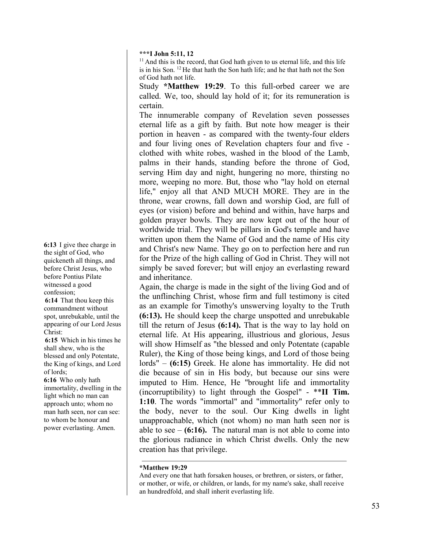**\*\*\*I John 5:11, 12**

 $11$  And this is the record, that God hath given to us eternal life, and this life is in his Son. 12 He that hath the Son hath life; and he that hath not the Son of God hath not life.

Study **\*Matthew 19:29**. To this full-orbed career we are called. We, too, should lay hold of it; for its remuneration is certain.

The innumerable company of Revelation seven possesses eternal life as a gift by faith. But note how meager is their portion in heaven - as compared with the twenty-four elders and four living ones of Revelation chapters four and five clothed with white robes, washed in the blood of the Lamb, palms in their hands, standing before the throne of God, serving Him day and night, hungering no more, thirsting no more, weeping no more. But, those who "lay hold on eternal life," enjoy all that AND MUCH MORE. They are in the throne, wear crowns, fall down and worship God, are full of eyes (or vision) before and behind and within, have harps and golden prayer bowls. They are now kept out of the hour of worldwide trial. They will be pillars in God's temple and have written upon them the Name of God and the name of His city and Christ's new Name. They go on to perfection here and run for the Prize of the high calling of God in Christ. They will not simply be saved forever; but will enjoy an everlasting reward and inheritance.

Again, the charge is made in the sight of the living God and of the unflinching Christ, whose firm and full testimony is cited as an example for Timothy's unswerving loyalty to the Truth **(6:13).** He should keep the charge unspotted and unrebukable till the return of Jesus **(6:14).** That is the way to lay hold on eternal life. At His appearing, illustrious and glorious, Jesus will show Himself as "the blessed and only Potentate (capable Ruler), the King of those being kings, and Lord of those being lords" – **(6:15)** Greek. He alone has immortality. He did not die because of sin in His body, but because our sins were imputed to Him. Hence, He "brought life and immortality (incorruptibility) to light through the Gospel" - \*\***II Tim. 1:10**. The words "immortal" and "immortality" refer only to the body, never to the soul. Our King dwells in light unapproachable, which (not whom) no man hath seen nor is able to see  $-$  (6:16). The natural man is not able to come into the glorious radiance in which Christ dwells. Only the new creation has that privilege.

# **\*Matthew 19:29**

**6:13** I give thee charge in the sight of God, who quickeneth all things, and before Christ Jesus, who before Pontius Pilate witnessed a good confession;

**6:14** That thou keep this commandment without spot, unrebukable, until the appearing of our Lord Jesus Christ:

**6:15** Which in his times he shall shew, who is the blessed and only Potentate, the King of kings, and Lord of lords;

**6:16** Who only hath immortality, dwelling in the light which no man can approach unto; whom no man hath seen, nor can see: to whom be honour and power everlasting. Amen.

And every one that hath forsaken houses, or brethren, or sisters, or father, or mother, or wife, or children, or lands, for my name's sake, shall receive an hundredfold, and shall inherit everlasting life.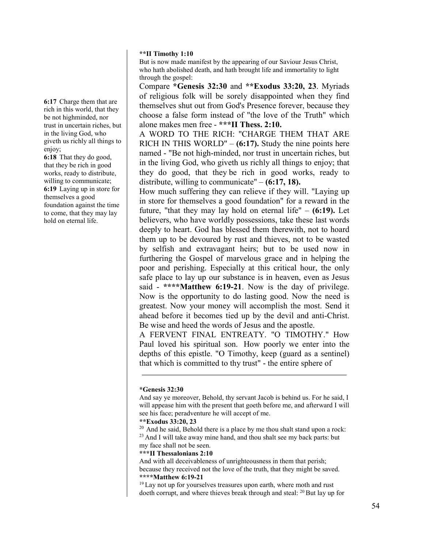# **\*\*II Timothy 1:10**

But is now made manifest by the appearing of our Saviour Jesus Christ, who hath abolished death, and hath brought life and immortality to light through the gospel:

Compare **\*Genesis 32:30** and **\*\*Exodus 33:20, 23**. Myriads of religious folk will be sorely disappointed when they find themselves shut out from God's Presence forever, because they choose a false form instead of "the love of the Truth" which alone makes men free - **\*\*\*II Thess. 2:10.**

A WORD TO THE RICH: "CHARGE THEM THAT ARE RICH IN THIS WORLD" – **(6:17).** Study the nine points here named - "Be not high-minded, nor trust in uncertain riches, but in the living God, who giveth us richly all things to enjoy; that they do good, that they be rich in good works, ready to distribute, willing to communicate" – **(6:17, 18).**

How much suffering they can relieve if they will. "Laying up in store for themselves a good foundation" for a reward in the future, "that they may lay hold on eternal life" – **(6:19).** Let believers, who have worldly possessions, take these last words deeply to heart. God has blessed them therewith, not to hoard them up to be devoured by rust and thieves, not to be wasted by selfish and extravagant heirs; but to be used now in furthering the Gospel of marvelous grace and in helping the poor and perishing. Especially at this critical hour, the only safe place to lay up our substance is in heaven, even as Jesus said - **\*\*\*\*Matthew 6:19-21**. Now is the day of privilege. Now is the opportunity to do lasting good. Now the need is greatest. Now your money will accomplish the most. Send it ahead before it becomes tied up by the devil and anti-Christ. Be wise and heed the words of Jesus and the apostle.

A FERVENT FINAL ENTREATY. "O TIMOTHY." How Paul loved his spiritual son. How poorly we enter into the depths of this epistle. "O Timothy, keep (guard as a sentinel) that which is committed to thy trust" - the entire sphere of

#### **\*Genesis 32:30**

**6:17** Charge them that are rich in this world, that they be not highminded, nor trust in uncertain riches, but in the living God, who giveth us richly all things to enjoy;

**6:18** That they do good, that they be rich in good works, ready to distribute, willing to communicate; **6:19** Laying up in store for themselves a good foundation against the time to come, that they may lay hold on eternal life.

And say ye moreover, Behold, thy servant Jacob is behind us. For he said, I will appease him with the present that goeth before me, and afterward I will see his face; peradventure he will accept of me.

<sup>\*\*</sup>**Exodus 33:20, 23**<br><sup>20</sup> And he said, Behold there is a place by me thou shalt stand upon a rock: <sup>23</sup> And I will take away mine hand, and thou shalt see my back parts: but my face shall not be seen.

**<sup>\*\*\*</sup>II Thessalonians 2:10**

And with all deceivableness of unrighteousness in them that perish; because they received not the love of the truth, that they might be saved. **\*\*\*\*Matthew 6:19-21**

 $19$  Lay not up for yourselves treasures upon earth, where moth and rust doeth corrupt, and where thieves break through and steal: 20 But lay up for